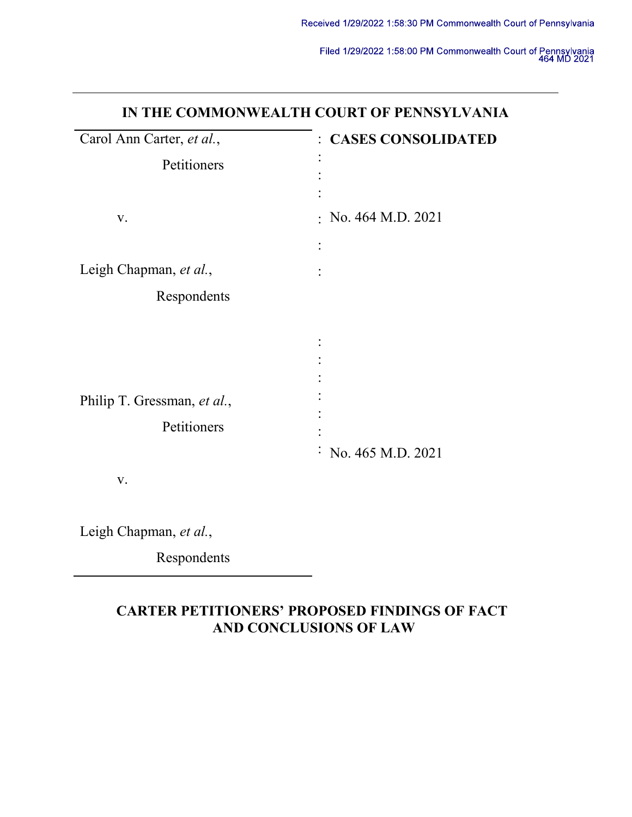| IN THE COMMONWEALTH COURT OF PENNSYLVANIA  |                                |  |  |  |
|--------------------------------------------|--------------------------------|--|--|--|
| Carol Ann Carter, et al.,                  | : CASES CONSOLIDATED           |  |  |  |
| Petitioners                                |                                |  |  |  |
| V.                                         | $:$ No. 464 M.D. 2021          |  |  |  |
| Leigh Chapman, et al.,                     |                                |  |  |  |
| Respondents                                |                                |  |  |  |
| Philip T. Gressman, et al.,<br>Petitioners | $\therefore$ No. 465 M.D. 2021 |  |  |  |
| V.                                         |                                |  |  |  |

Leigh Chapman, et al.,

Respondents

# CARTER PETITIONERS' PROPOSED FINDINGS OF FACT AND CONCLUSIONS OF LAW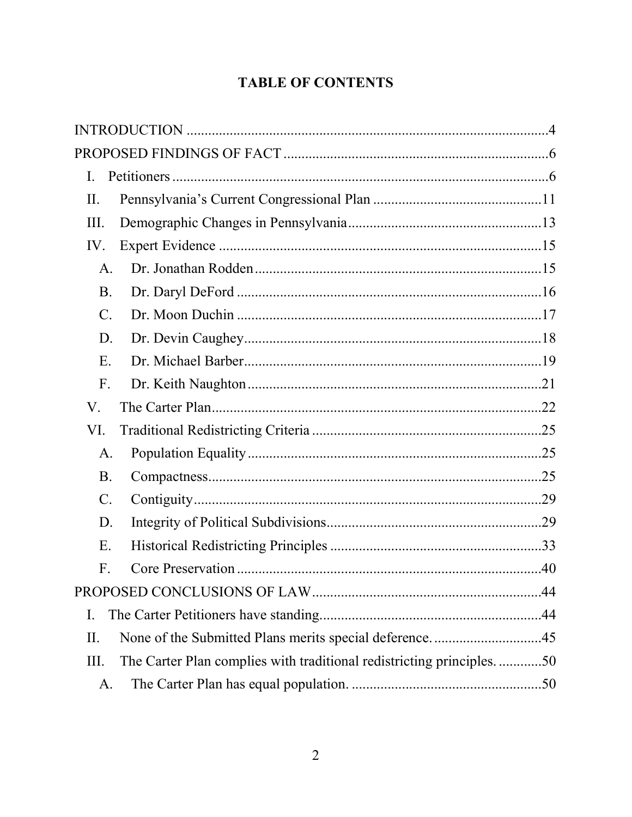# **TABLE OF CONTENTS**

| I.              |                                                                      |  |
|-----------------|----------------------------------------------------------------------|--|
| II.             |                                                                      |  |
| III.            |                                                                      |  |
| IV.             |                                                                      |  |
| $\mathsf{A}.$   |                                                                      |  |
| <b>B.</b>       |                                                                      |  |
| $C$ .           |                                                                      |  |
| D.              |                                                                      |  |
| E.              |                                                                      |  |
| F.              |                                                                      |  |
| V.              |                                                                      |  |
| VI.             |                                                                      |  |
| A.              |                                                                      |  |
| <b>B.</b>       |                                                                      |  |
| $\mathcal{C}$ . |                                                                      |  |
| D.              |                                                                      |  |
| Ε.              |                                                                      |  |
| F.              |                                                                      |  |
|                 |                                                                      |  |
| I.              |                                                                      |  |
| II.             | None of the Submitted Plans merits special deference45               |  |
| III.            | The Carter Plan complies with traditional redistricting principles50 |  |
| A.              |                                                                      |  |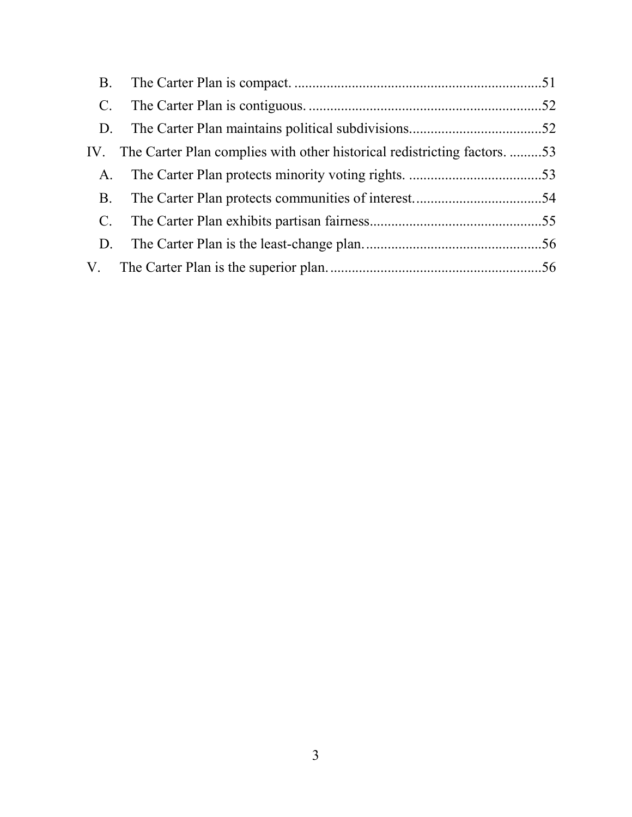| <b>B.</b>      |                                                                              |  |
|----------------|------------------------------------------------------------------------------|--|
| $\mathbf{C}$ . |                                                                              |  |
| D.             |                                                                              |  |
|                | IV. The Carter Plan complies with other historical redistricting factors. 53 |  |
| A.             |                                                                              |  |
| <b>B.</b>      |                                                                              |  |
| $C_{\cdot}$    |                                                                              |  |
| D.             |                                                                              |  |
|                |                                                                              |  |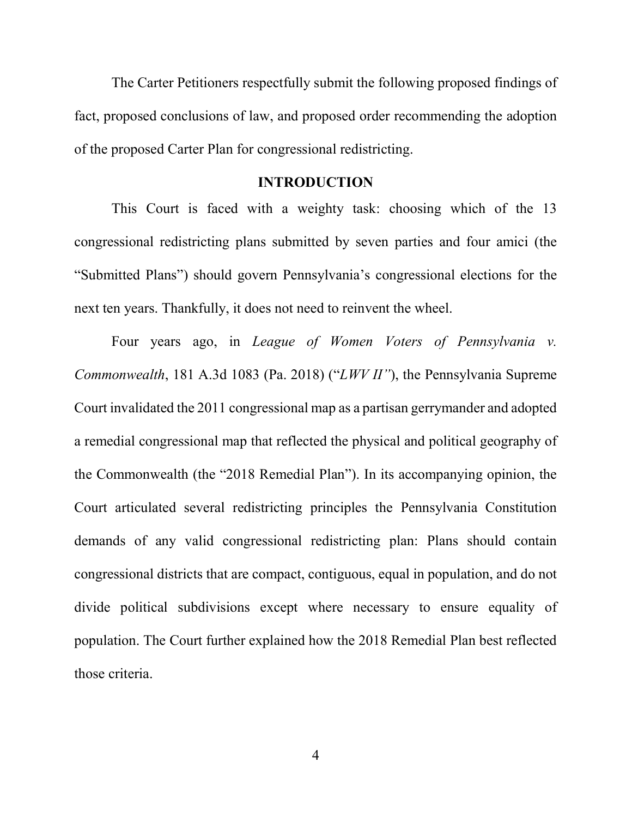The Carter Petitioners respectfully submit the following proposed findings of fact, proposed conclusions of law, and proposed order recommending the adoption of the proposed Carter Plan for congressional redistricting.

## INTRODUCTION

This Court is faced with a weighty task: choosing which of the 13 congressional redistricting plans submitted by seven parties and four amici (the "Submitted Plans") should govern Pennsylvania's congressional elections for the next ten years. Thankfully, it does not need to reinvent the wheel.

Four years ago, in League of Women Voters of Pennsylvania v. Commonwealth, 181 A.3d 1083 (Pa. 2018) ("LWV II"), the Pennsylvania Supreme Court invalidated the 2011 congressional map as a partisan gerrymander and adopted a remedial congressional map that reflected the physical and political geography of the Commonwealth (the "2018 Remedial Plan"). In its accompanying opinion, the Court articulated several redistricting principles the Pennsylvania Constitution demands of any valid congressional redistricting plan: Plans should contain congressional districts that are compact, contiguous, equal in population, and do not divide political subdivisions except where necessary to ensure equality of population. The Court further explained how the 2018 Remedial Plan best reflected those criteria.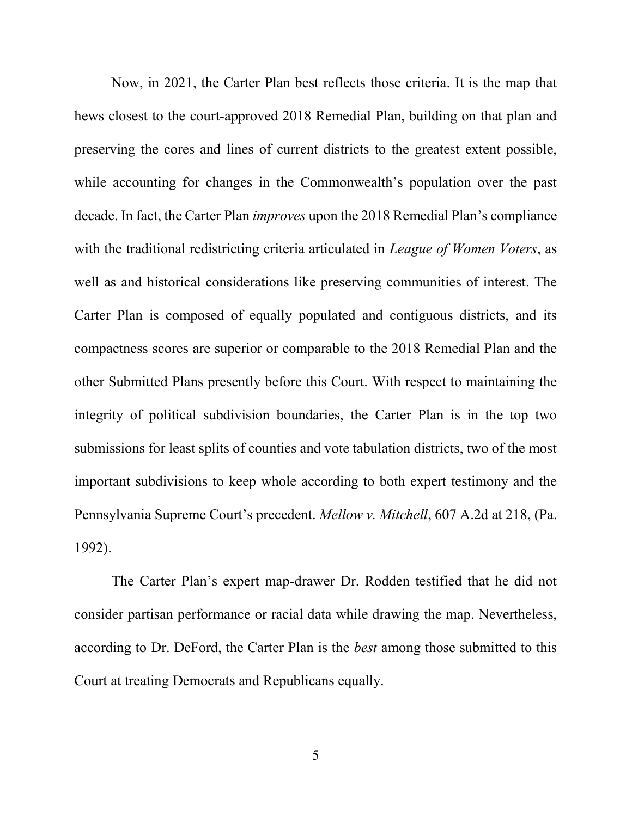Now, in 2021, the Carter Plan best reflects those criteria. It is the map that hews closest to the court-approved 2018 Remedial Plan, building on that plan and preserving the cores and lines of current districts to the greatest extent possible, while accounting for changes in the Commonwealth's population over the past decade. In fact, the Carter Plan improves upon the 2018 Remedial Plan's compliance with the traditional redistricting criteria articulated in *League of Women Voters*, as well as and historical considerations like preserving communities of interest. The Carter Plan is composed of equally populated and contiguous districts, and its compactness scores are superior or comparable to the 2018 Remedial Plan and the other Submitted Plans presently before this Court. With respect to maintaining the integrity of political subdivision boundaries, the Carter Plan is in the top two submissions for least splits of counties and vote tabulation districts, two of the most important subdivisions to keep whole according to both expert testimony and the Pennsylvania Supreme Court's precedent. Mellow v. Mitchell, 607 A.2d at 218, (Pa. 1992).

The Carter Plan's expert map-drawer Dr. Rodden testified that he did not consider partisan performance or racial data while drawing the map. Nevertheless, according to Dr. DeFord, the Carter Plan is the best among those submitted to this Court at treating Democrats and Republicans equally.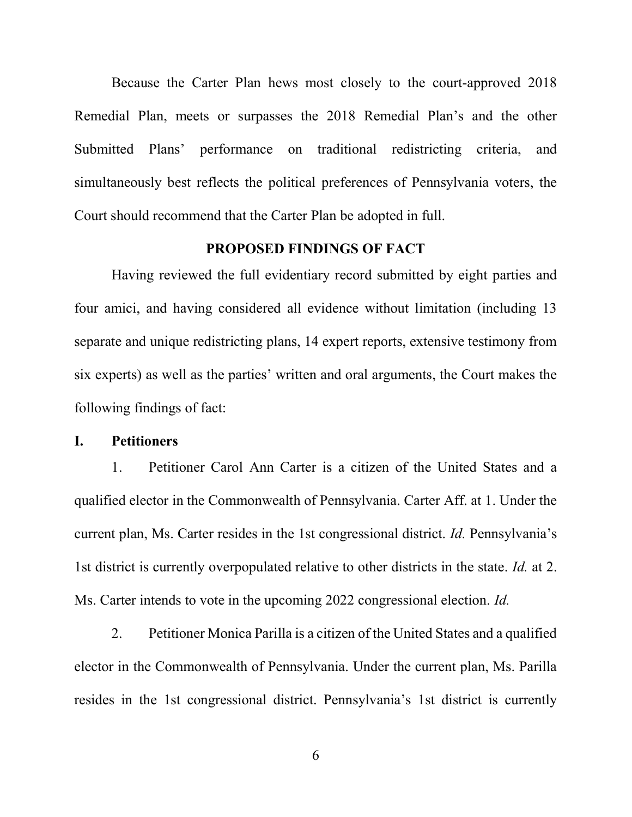Because the Carter Plan hews most closely to the court-approved 2018 Remedial Plan, meets or surpasses the 2018 Remedial Plan's and the other Submitted Plans' performance on traditional redistricting criteria, and simultaneously best reflects the political preferences of Pennsylvania voters, the Court should recommend that the Carter Plan be adopted in full.

#### PROPOSED FINDINGS OF FACT

Having reviewed the full evidentiary record submitted by eight parties and four amici, and having considered all evidence without limitation (including 13 separate and unique redistricting plans, 14 expert reports, extensive testimony from six experts) as well as the parties' written and oral arguments, the Court makes the following findings of fact:

## I. Petitioners

1. Petitioner Carol Ann Carter is a citizen of the United States and a qualified elector in the Commonwealth of Pennsylvania. Carter Aff. at 1. Under the current plan, Ms. Carter resides in the 1st congressional district. Id. Pennsylvania's 1st district is currently overpopulated relative to other districts in the state. *Id.* at 2. Ms. Carter intends to vote in the upcoming 2022 congressional election. *Id.* 

2. Petitioner Monica Parilla is a citizen of the United States and a qualified elector in the Commonwealth of Pennsylvania. Under the current plan, Ms. Parilla resides in the 1st congressional district. Pennsylvania's 1st district is currently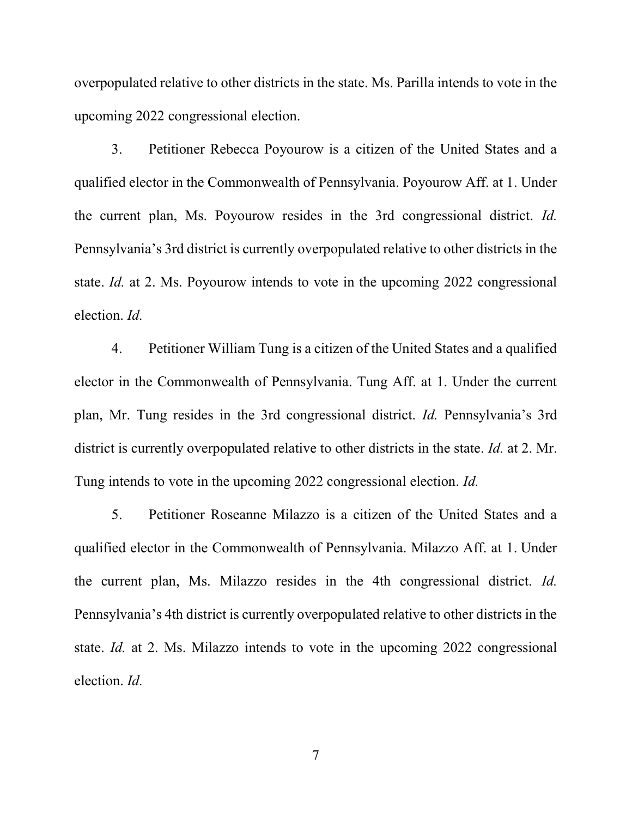overpopulated relative to other districts in the state. Ms. Parilla intends to vote in the upcoming 2022 congressional election.

3. Petitioner Rebecca Poyourow is a citizen of the United States and a qualified elector in the Commonwealth of Pennsylvania. Poyourow Aff. at 1. Under the current plan, Ms. Poyourow resides in the 3rd congressional district. Id. Pennsylvania's 3rd district is currently overpopulated relative to other districts in the state. *Id.* at 2. Ms. Poyourow intends to vote in the upcoming 2022 congressional election. Id.

4. Petitioner William Tung is a citizen of the United States and a qualified elector in the Commonwealth of Pennsylvania. Tung Aff. at 1. Under the current plan, Mr. Tung resides in the 3rd congressional district. Id. Pennsylvania's 3rd district is currently overpopulated relative to other districts in the state. *Id.* at 2. Mr. Tung intends to vote in the upcoming 2022 congressional election. Id.

5. Petitioner Roseanne Milazzo is a citizen of the United States and a qualified elector in the Commonwealth of Pennsylvania. Milazzo Aff. at 1. Under the current plan, Ms. Milazzo resides in the 4th congressional district. Id. Pennsylvania's 4th district is currently overpopulated relative to other districts in the state. Id. at 2. Ms. Milazzo intends to vote in the upcoming 2022 congressional election. Id.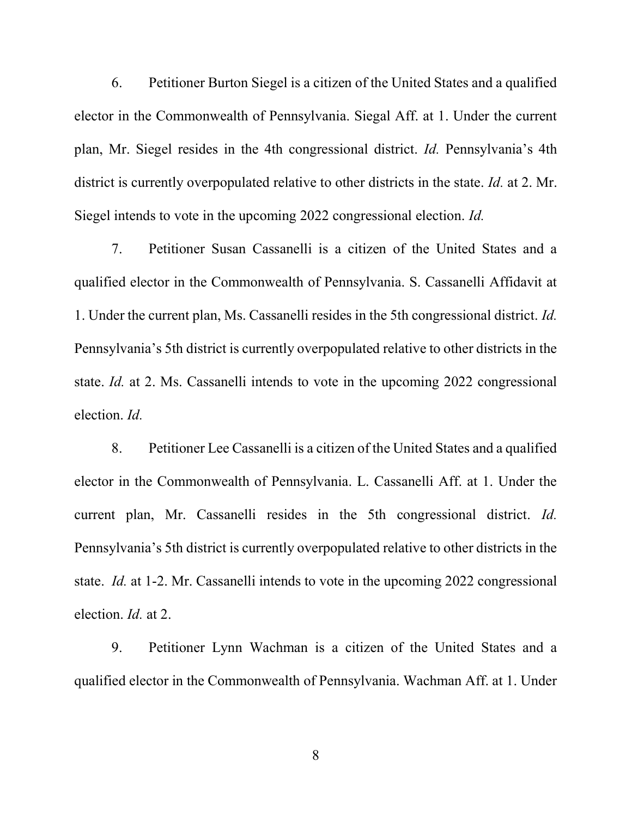6. Petitioner Burton Siegel is a citizen of the United States and a qualified elector in the Commonwealth of Pennsylvania. Siegal Aff. at 1. Under the current plan, Mr. Siegel resides in the 4th congressional district. Id. Pennsylvania's 4th district is currently overpopulated relative to other districts in the state. *Id.* at 2. Mr. Siegel intends to vote in the upcoming 2022 congressional election. Id.

7. Petitioner Susan Cassanelli is a citizen of the United States and a qualified elector in the Commonwealth of Pennsylvania. S. Cassanelli Affidavit at 1. Under the current plan, Ms. Cassanelli resides in the 5th congressional district. Id. Pennsylvania's 5th district is currently overpopulated relative to other districts in the state. Id. at 2. Ms. Cassanelli intends to vote in the upcoming 2022 congressional election. Id.

8. Petitioner Lee Cassanelli is a citizen of the United States and a qualified elector in the Commonwealth of Pennsylvania. L. Cassanelli Aff. at 1. Under the current plan, Mr. Cassanelli resides in the 5th congressional district. Id. Pennsylvania's 5th district is currently overpopulated relative to other districts in the state. Id. at 1-2. Mr. Cassanelli intends to vote in the upcoming 2022 congressional election. Id. at 2.

9. Petitioner Lynn Wachman is a citizen of the United States and a qualified elector in the Commonwealth of Pennsylvania. Wachman Aff. at 1. Under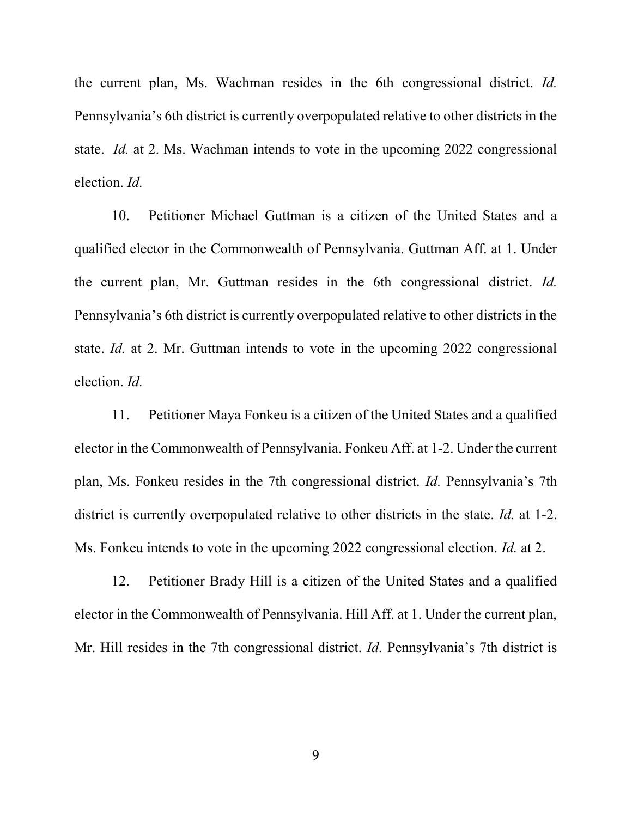the current plan, Ms. Wachman resides in the 6th congressional district. Id. Pennsylvania's 6th district is currently overpopulated relative to other districts in the state. Id. at 2. Ms. Wachman intends to vote in the upcoming 2022 congressional election. Id.

10. Petitioner Michael Guttman is a citizen of the United States and a qualified elector in the Commonwealth of Pennsylvania. Guttman Aff. at 1. Under the current plan, Mr. Guttman resides in the 6th congressional district. Id. Pennsylvania's 6th district is currently overpopulated relative to other districts in the state. Id. at 2. Mr. Guttman intends to vote in the upcoming 2022 congressional election. Id.

11. Petitioner Maya Fonkeu is a citizen of the United States and a qualified elector in the Commonwealth of Pennsylvania. Fonkeu Aff. at 1-2. Under the current plan, Ms. Fonkeu resides in the 7th congressional district. Id. Pennsylvania's 7th district is currently overpopulated relative to other districts in the state. *Id.* at 1-2. Ms. Fonkeu intends to vote in the upcoming 2022 congressional election. *Id.* at 2.

12. Petitioner Brady Hill is a citizen of the United States and a qualified elector in the Commonwealth of Pennsylvania. Hill Aff. at 1. Under the current plan, Mr. Hill resides in the 7th congressional district. *Id.* Pennsylvania's 7th district is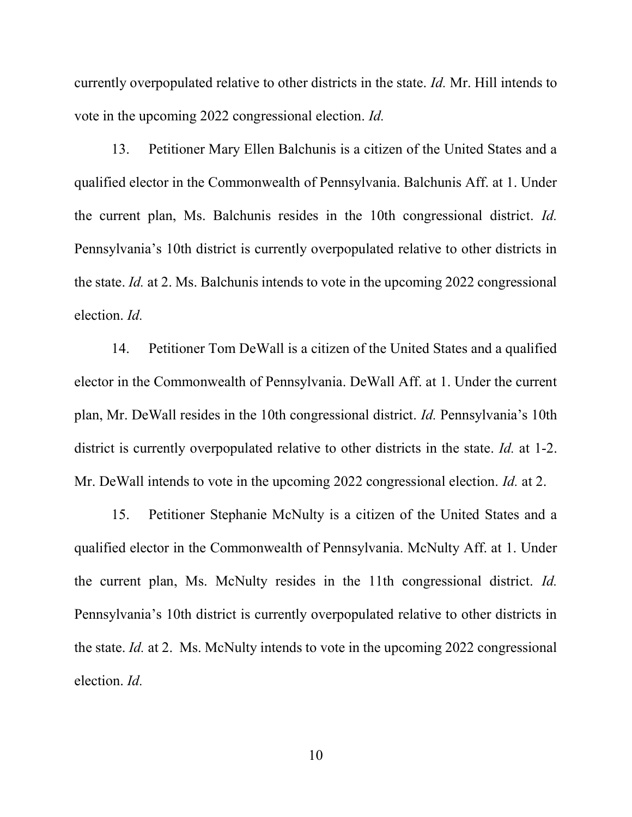currently overpopulated relative to other districts in the state. Id. Mr. Hill intends to vote in the upcoming 2022 congressional election. Id.

13. Petitioner Mary Ellen Balchunis is a citizen of the United States and a qualified elector in the Commonwealth of Pennsylvania. Balchunis Aff. at 1. Under the current plan, Ms. Balchunis resides in the 10th congressional district. Id. Pennsylvania's 10th district is currently overpopulated relative to other districts in the state. Id. at 2. Ms. Balchunis intends to vote in the upcoming 2022 congressional election. Id.

14. Petitioner Tom DeWall is a citizen of the United States and a qualified elector in the Commonwealth of Pennsylvania. DeWall Aff. at 1. Under the current plan, Mr. DeWall resides in the 10th congressional district. Id. Pennsylvania's 10th district is currently overpopulated relative to other districts in the state. *Id.* at 1-2. Mr. DeWall intends to vote in the upcoming 2022 congressional election. *Id.* at 2.

15. Petitioner Stephanie McNulty is a citizen of the United States and a qualified elector in the Commonwealth of Pennsylvania. McNulty Aff. at 1. Under the current plan, Ms. McNulty resides in the 11th congressional district. Id. Pennsylvania's 10th district is currently overpopulated relative to other districts in the state. Id. at 2. Ms. McNulty intends to vote in the upcoming 2022 congressional election. Id.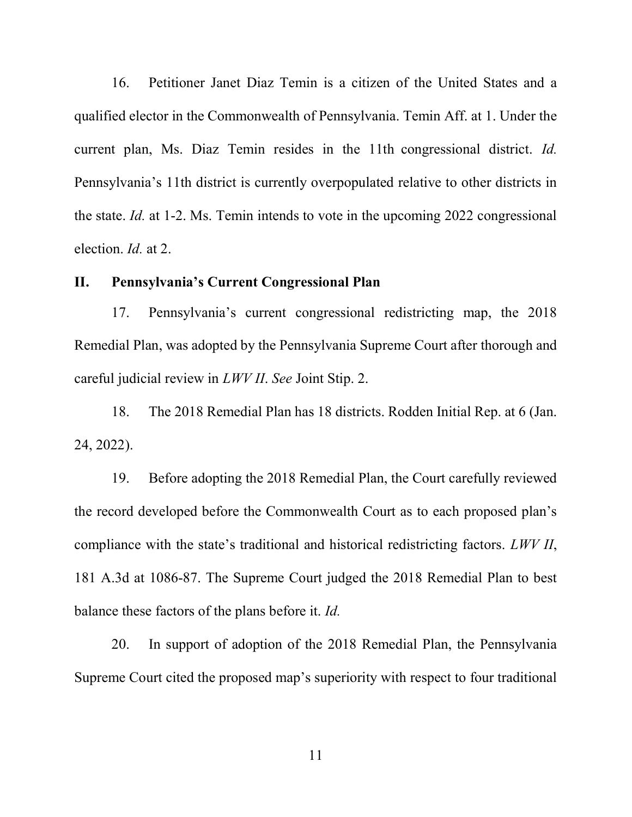16. Petitioner Janet Diaz Temin is a citizen of the United States and a qualified elector in the Commonwealth of Pennsylvania. Temin Aff. at 1. Under the current plan, Ms. Diaz Temin resides in the 11th congressional district. Id. Pennsylvania's 11th district is currently overpopulated relative to other districts in the state. Id. at 1-2. Ms. Temin intends to vote in the upcoming 2022 congressional election. Id. at 2.

# II. Pennsylvania's Current Congressional Plan

17. Pennsylvania's current congressional redistricting map, the 2018 Remedial Plan, was adopted by the Pennsylvania Supreme Court after thorough and careful judicial review in LWV II. See Joint Stip. 2.

18. The 2018 Remedial Plan has 18 districts. Rodden Initial Rep. at 6 (Jan. 24, 2022).

19. Before adopting the 2018 Remedial Plan, the Court carefully reviewed the record developed before the Commonwealth Court as to each proposed plan's compliance with the state's traditional and historical redistricting factors. LWV II, 181 A.3d at 1086-87. The Supreme Court judged the 2018 Remedial Plan to best balance these factors of the plans before it. Id.

20. In support of adoption of the 2018 Remedial Plan, the Pennsylvania Supreme Court cited the proposed map's superiority with respect to four traditional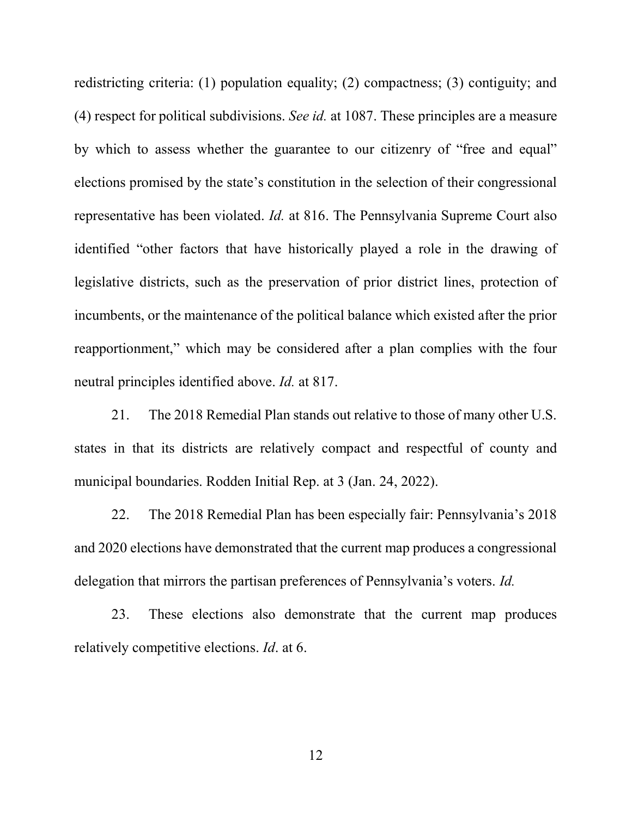redistricting criteria: (1) population equality; (2) compactness; (3) contiguity; and (4) respect for political subdivisions. See id. at 1087. These principles are a measure by which to assess whether the guarantee to our citizenry of "free and equal" elections promised by the state's constitution in the selection of their congressional representative has been violated. Id. at 816. The Pennsylvania Supreme Court also identified "other factors that have historically played a role in the drawing of legislative districts, such as the preservation of prior district lines, protection of incumbents, or the maintenance of the political balance which existed after the prior reapportionment," which may be considered after a plan complies with the four neutral principles identified above. Id. at 817.

21. The 2018 Remedial Plan stands out relative to those of many other U.S. states in that its districts are relatively compact and respectful of county and municipal boundaries. Rodden Initial Rep. at 3 (Jan. 24, 2022).

22. The 2018 Remedial Plan has been especially fair: Pennsylvania's 2018 and 2020 elections have demonstrated that the current map produces a congressional delegation that mirrors the partisan preferences of Pennsylvania's voters. Id.

23. These elections also demonstrate that the current map produces relatively competitive elections. Id. at 6.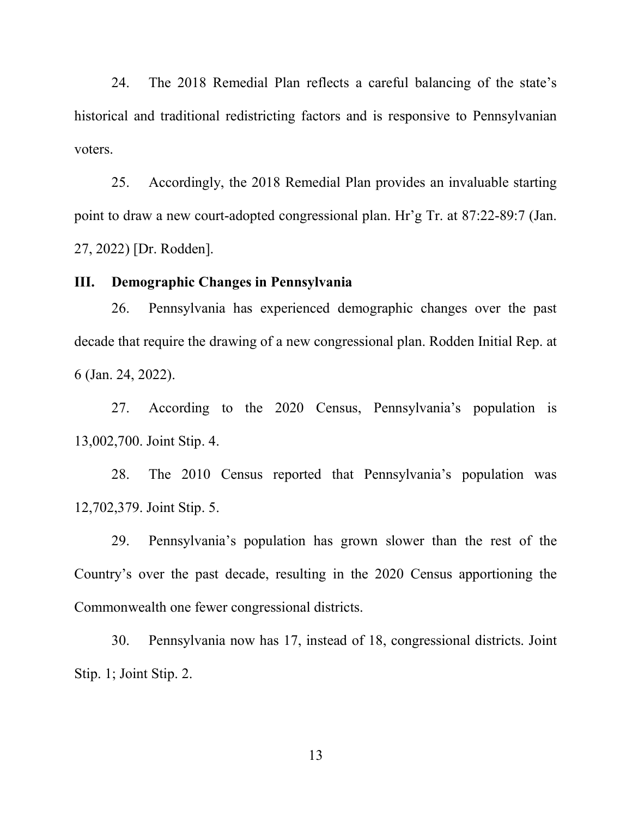24. The 2018 Remedial Plan reflects a careful balancing of the state's historical and traditional redistricting factors and is responsive to Pennsylvanian voters.

25. Accordingly, the 2018 Remedial Plan provides an invaluable starting point to draw a new court-adopted congressional plan. Hr'g Tr. at 87:22-89:7 (Jan. 27, 2022) [Dr. Rodden].

# III. Demographic Changes in Pennsylvania

26. Pennsylvania has experienced demographic changes over the past decade that require the drawing of a new congressional plan. Rodden Initial Rep. at 6 (Jan. 24, 2022).

27. According to the 2020 Census, Pennsylvania's population is 13,002,700. Joint Stip. 4.

28. The 2010 Census reported that Pennsylvania's population was 12,702,379. Joint Stip. 5.

29. Pennsylvania's population has grown slower than the rest of the Country's over the past decade, resulting in the 2020 Census apportioning the Commonwealth one fewer congressional districts.

30. Pennsylvania now has 17, instead of 18, congressional districts. Joint Stip. 1; Joint Stip. 2.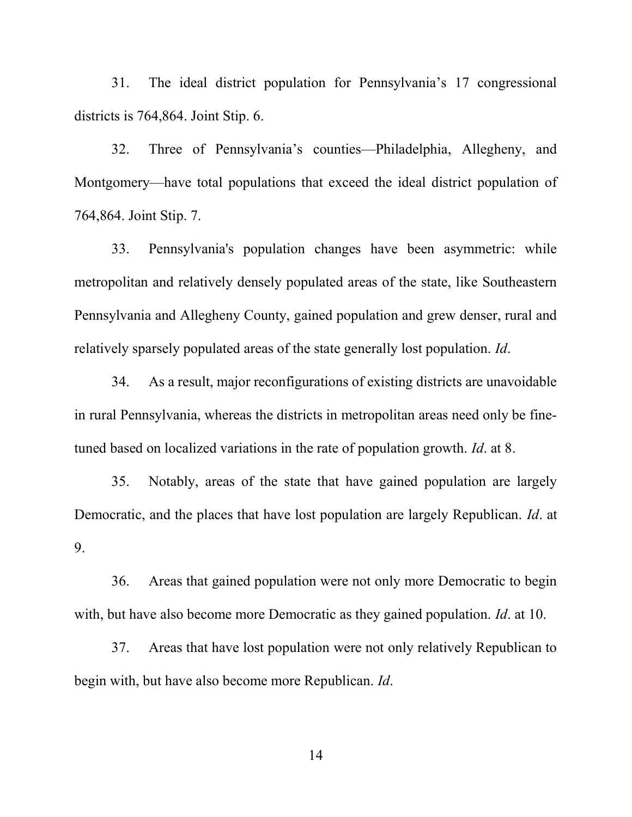31. The ideal district population for Pennsylvania's 17 congressional districts is 764,864. Joint Stip. 6.

32. Three of Pennsylvania's counties—Philadelphia, Allegheny, and Montgomery—have total populations that exceed the ideal district population of 764,864. Joint Stip. 7.

33. Pennsylvania's population changes have been asymmetric: while metropolitan and relatively densely populated areas of the state, like Southeastern Pennsylvania and Allegheny County, gained population and grew denser, rural and relatively sparsely populated areas of the state generally lost population. Id.

34. As a result, major reconfigurations of existing districts are unavoidable in rural Pennsylvania, whereas the districts in metropolitan areas need only be finetuned based on localized variations in the rate of population growth. *Id.* at 8.

35. Notably, areas of the state that have gained population are largely Democratic, and the places that have lost population are largely Republican. Id. at 9.

36. Areas that gained population were not only more Democratic to begin with, but have also become more Democratic as they gained population. *Id.* at 10.

37. Areas that have lost population were not only relatively Republican to begin with, but have also become more Republican. Id.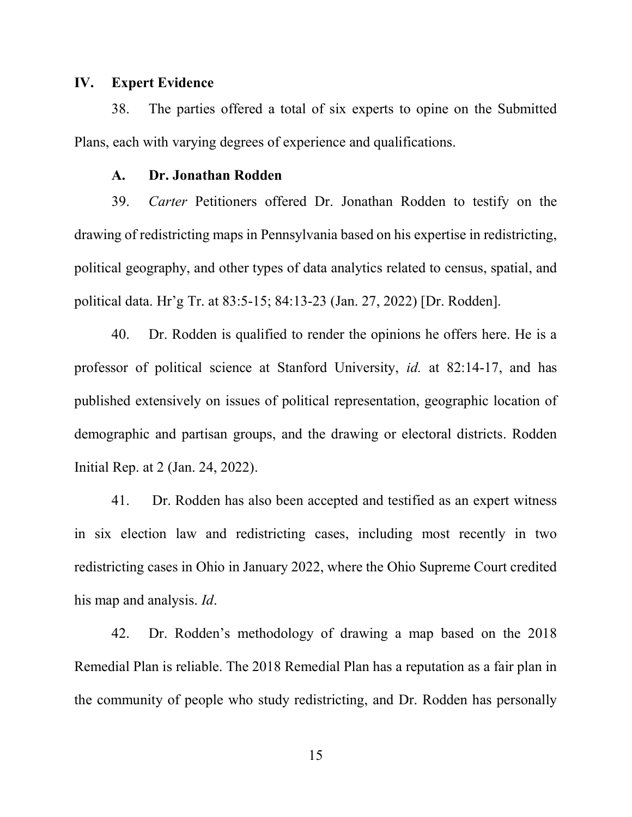#### IV. Expert Evidence

38. The parties offered a total of six experts to opine on the Submitted Plans, each with varying degrees of experience and qualifications.

#### A. Dr. Jonathan Rodden

39. Carter Petitioners offered Dr. Jonathan Rodden to testify on the drawing of redistricting maps in Pennsylvania based on his expertise in redistricting, political geography, and other types of data analytics related to census, spatial, and political data. Hr'g Tr. at 83:5-15; 84:13-23 (Jan. 27, 2022) [Dr. Rodden].

40. Dr. Rodden is qualified to render the opinions he offers here. He is a professor of political science at Stanford University, id. at 82:14-17, and has published extensively on issues of political representation, geographic location of demographic and partisan groups, and the drawing or electoral districts. Rodden Initial Rep. at 2 (Jan. 24, 2022).

41. Dr. Rodden has also been accepted and testified as an expert witness in six election law and redistricting cases, including most recently in two redistricting cases in Ohio in January 2022, where the Ohio Supreme Court credited his map and analysis. *Id*.

42. Dr. Rodden's methodology of drawing a map based on the 2018 Remedial Plan is reliable. The 2018 Remedial Plan has a reputation as a fair plan in the community of people who study redistricting, and Dr. Rodden has personally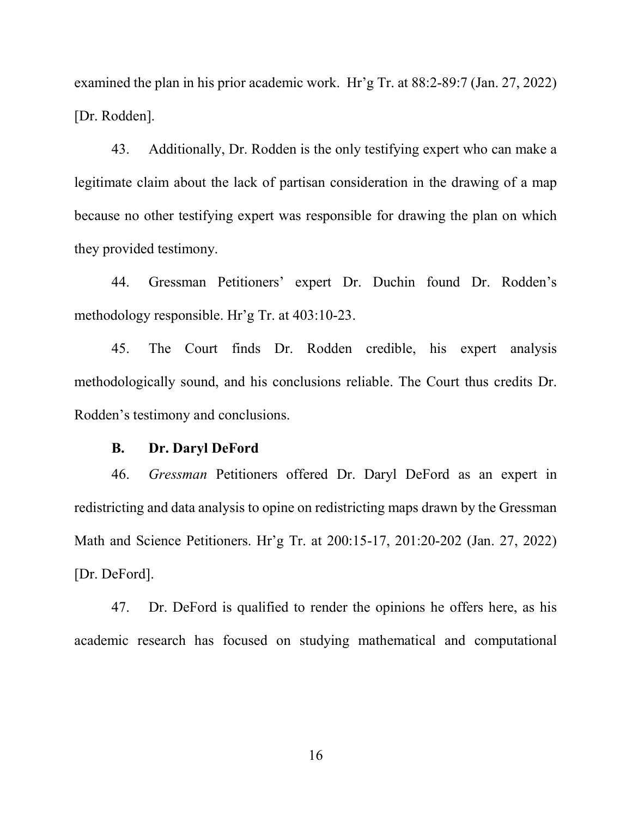examined the plan in his prior academic work. Hr'g Tr. at 88:2-89:7 (Jan. 27, 2022) [Dr. Rodden].

43. Additionally, Dr. Rodden is the only testifying expert who can make a legitimate claim about the lack of partisan consideration in the drawing of a map because no other testifying expert was responsible for drawing the plan on which they provided testimony.

44. Gressman Petitioners' expert Dr. Duchin found Dr. Rodden's methodology responsible. Hr'g Tr. at 403:10-23.

45. The Court finds Dr. Rodden credible, his expert analysis methodologically sound, and his conclusions reliable. The Court thus credits Dr. Rodden's testimony and conclusions.

#### B. Dr. Daryl DeFord

46. Gressman Petitioners offered Dr. Daryl DeFord as an expert in redistricting and data analysis to opine on redistricting maps drawn by the Gressman Math and Science Petitioners. Hr'g Tr. at 200:15-17, 201:20-202 (Jan. 27, 2022) [Dr. DeFord].

47. Dr. DeFord is qualified to render the opinions he offers here, as his academic research has focused on studying mathematical and computational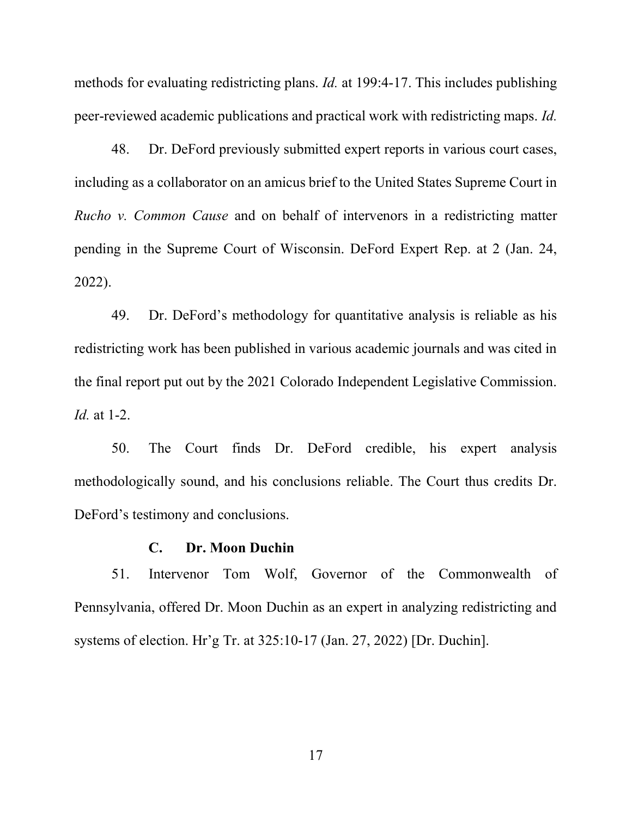methods for evaluating redistricting plans. Id. at 199:4-17. This includes publishing peer-reviewed academic publications and practical work with redistricting maps. Id.

48. Dr. DeFord previously submitted expert reports in various court cases, including as a collaborator on an amicus brief to the United States Supreme Court in Rucho v. Common Cause and on behalf of intervenors in a redistricting matter pending in the Supreme Court of Wisconsin. DeFord Expert Rep. at 2 (Jan. 24, 2022).

49. Dr. DeFord's methodology for quantitative analysis is reliable as his redistricting work has been published in various academic journals and was cited in the final report put out by the 2021 Colorado Independent Legislative Commission. Id. at 1-2.

50. The Court finds Dr. DeFord credible, his expert analysis methodologically sound, and his conclusions reliable. The Court thus credits Dr. DeFord's testimony and conclusions.

#### C. Dr. Moon Duchin

51. Intervenor Tom Wolf, Governor of the Commonwealth of Pennsylvania, offered Dr. Moon Duchin as an expert in analyzing redistricting and systems of election. Hr'g Tr. at 325:10-17 (Jan. 27, 2022) [Dr. Duchin].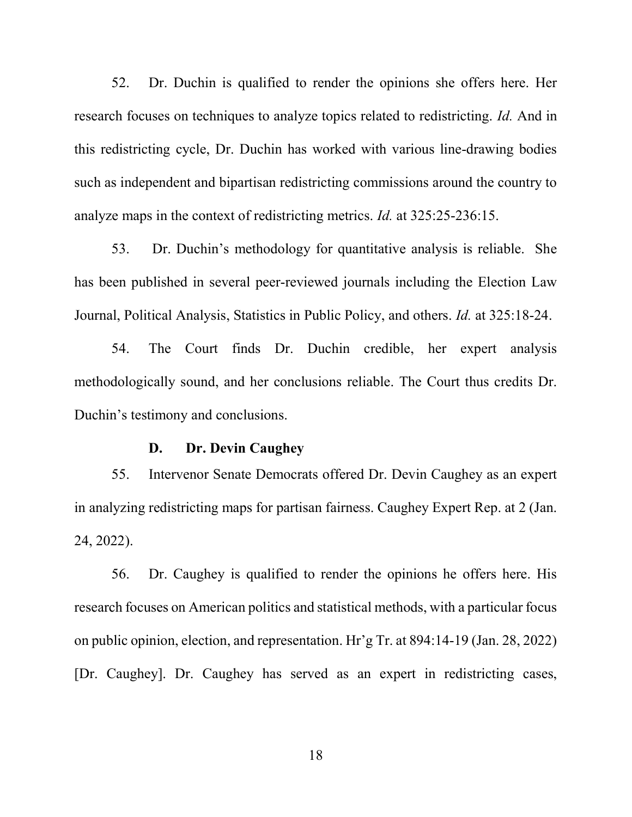52. Dr. Duchin is qualified to render the opinions she offers here. Her research focuses on techniques to analyze topics related to redistricting. Id. And in this redistricting cycle, Dr. Duchin has worked with various line-drawing bodies such as independent and bipartisan redistricting commissions around the country to analyze maps in the context of redistricting metrics. Id. at 325:25-236:15.

53. Dr. Duchin's methodology for quantitative analysis is reliable. She has been published in several peer-reviewed journals including the Election Law Journal, Political Analysis, Statistics in Public Policy, and others. Id. at 325:18-24.

54. The Court finds Dr. Duchin credible, her expert analysis methodologically sound, and her conclusions reliable. The Court thus credits Dr. Duchin's testimony and conclusions.

#### D. Dr. Devin Caughey

55. Intervenor Senate Democrats offered Dr. Devin Caughey as an expert in analyzing redistricting maps for partisan fairness. Caughey Expert Rep. at 2 (Jan. 24, 2022).

56. Dr. Caughey is qualified to render the opinions he offers here. His research focuses on American politics and statistical methods, with a particular focus on public opinion, election, and representation. Hr'g Tr. at 894:14-19 (Jan. 28, 2022) [Dr. Caughey]. Dr. Caughey has served as an expert in redistricting cases,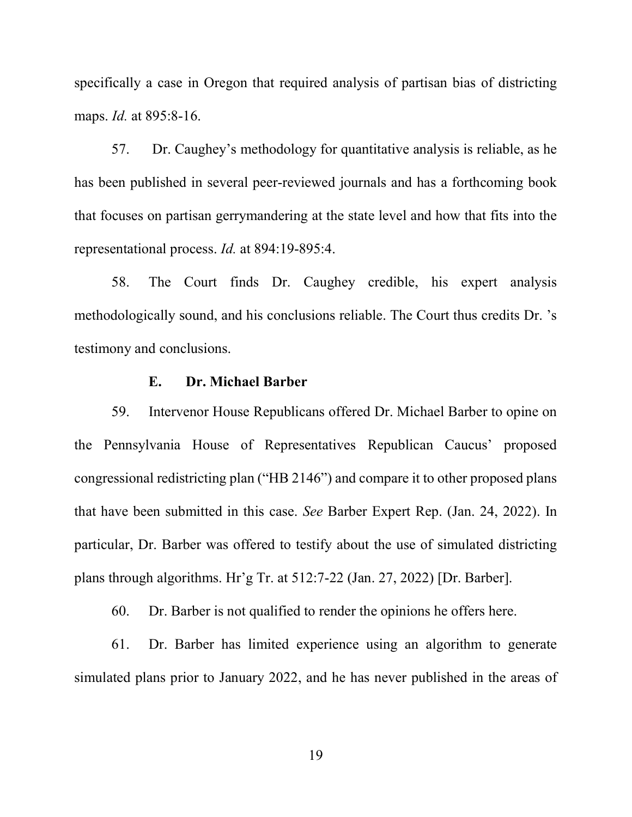specifically a case in Oregon that required analysis of partisan bias of districting maps. *Id.* at 895:8-16.

57. Dr. Caughey's methodology for quantitative analysis is reliable, as he has been published in several peer-reviewed journals and has a forthcoming book that focuses on partisan gerrymandering at the state level and how that fits into the representational process. Id. at 894:19-895:4.

58. The Court finds Dr. Caughey credible, his expert analysis methodologically sound, and his conclusions reliable. The Court thus credits Dr. 's testimony and conclusions.

# E. Dr. Michael Barber

59. Intervenor House Republicans offered Dr. Michael Barber to opine on the Pennsylvania House of Representatives Republican Caucus' proposed congressional redistricting plan ("HB 2146") and compare it to other proposed plans that have been submitted in this case. See Barber Expert Rep. (Jan. 24, 2022). In particular, Dr. Barber was offered to testify about the use of simulated districting plans through algorithms. Hr'g Tr. at 512:7-22 (Jan. 27, 2022) [Dr. Barber].

60. Dr. Barber is not qualified to render the opinions he offers here.

61. Dr. Barber has limited experience using an algorithm to generate simulated plans prior to January 2022, and he has never published in the areas of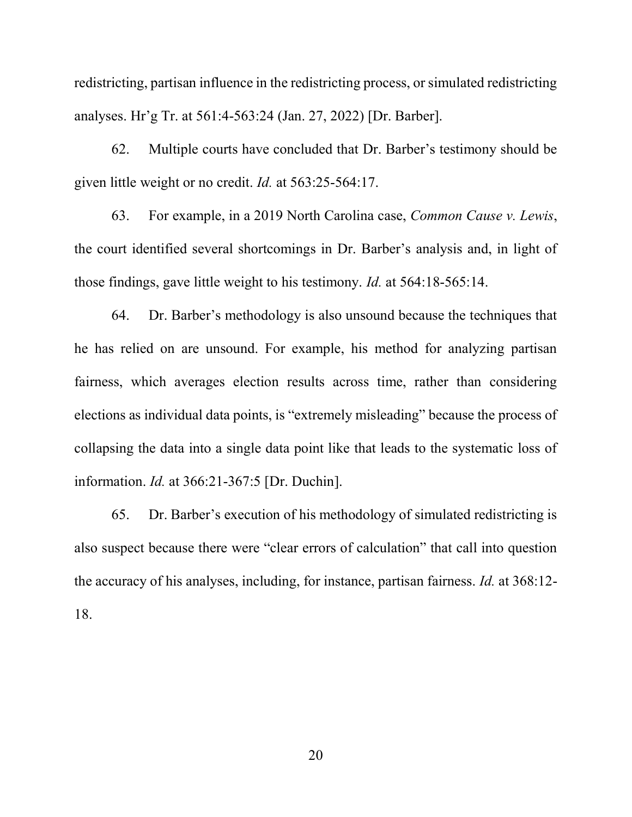redistricting, partisan influence in the redistricting process, or simulated redistricting analyses. Hr'g Tr. at 561:4-563:24 (Jan. 27, 2022) [Dr. Barber].

62. Multiple courts have concluded that Dr. Barber's testimony should be given little weight or no credit. Id. at 563:25-564:17.

63. For example, in a 2019 North Carolina case, Common Cause v. Lewis, the court identified several shortcomings in Dr. Barber's analysis and, in light of those findings, gave little weight to his testimony. Id. at 564:18-565:14.

64. Dr. Barber's methodology is also unsound because the techniques that he has relied on are unsound. For example, his method for analyzing partisan fairness, which averages election results across time, rather than considering elections as individual data points, is "extremely misleading" because the process of collapsing the data into a single data point like that leads to the systematic loss of information. Id. at 366:21-367:5 [Dr. Duchin].

65. Dr. Barber's execution of his methodology of simulated redistricting is also suspect because there were "clear errors of calculation" that call into question the accuracy of his analyses, including, for instance, partisan fairness. Id. at 368:12- 18.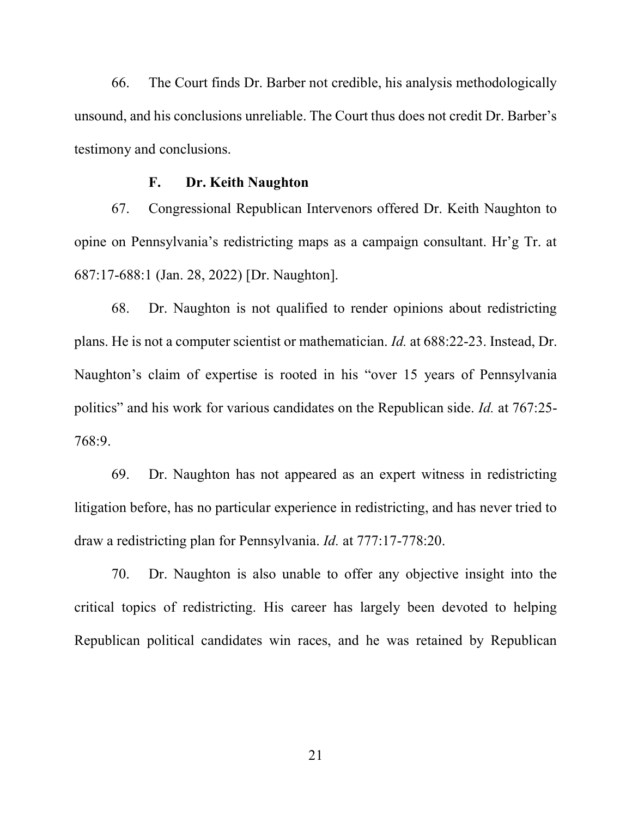66. The Court finds Dr. Barber not credible, his analysis methodologically unsound, and his conclusions unreliable. The Court thus does not credit Dr. Barber's testimony and conclusions.

#### F. Dr. Keith Naughton

67. Congressional Republican Intervenors offered Dr. Keith Naughton to opine on Pennsylvania's redistricting maps as a campaign consultant. Hr'g Tr. at 687:17-688:1 (Jan. 28, 2022) [Dr. Naughton].

68. Dr. Naughton is not qualified to render opinions about redistricting plans. He is not a computer scientist or mathematician. Id. at 688:22-23. Instead, Dr. Naughton's claim of expertise is rooted in his "over 15 years of Pennsylvania politics" and his work for various candidates on the Republican side. Id. at 767:25- 768:9.

69. Dr. Naughton has not appeared as an expert witness in redistricting litigation before, has no particular experience in redistricting, and has never tried to draw a redistricting plan for Pennsylvania. Id. at 777:17-778:20.

70. Dr. Naughton is also unable to offer any objective insight into the critical topics of redistricting. His career has largely been devoted to helping Republican political candidates win races, and he was retained by Republican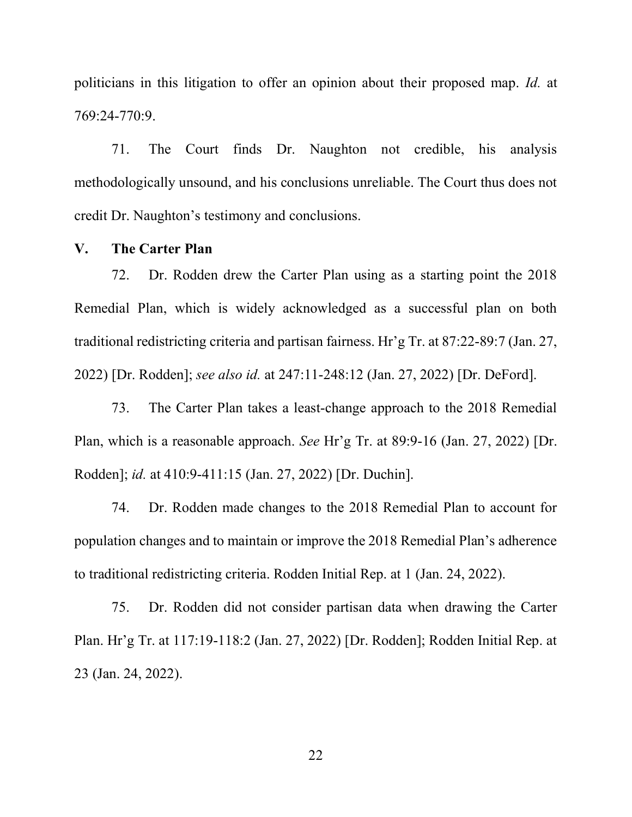politicians in this litigation to offer an opinion about their proposed map. Id. at 769:24-770:9.

71. The Court finds Dr. Naughton not credible, his analysis methodologically unsound, and his conclusions unreliable. The Court thus does not credit Dr. Naughton's testimony and conclusions.

#### V. The Carter Plan

72. Dr. Rodden drew the Carter Plan using as a starting point the 2018 Remedial Plan, which is widely acknowledged as a successful plan on both traditional redistricting criteria and partisan fairness. Hr'g Tr. at 87:22-89:7 (Jan. 27, 2022) [Dr. Rodden]; see also id. at 247:11-248:12 (Jan. 27, 2022) [Dr. DeFord].

73. The Carter Plan takes a least-change approach to the 2018 Remedial Plan, which is a reasonable approach. See Hr'g Tr. at 89:9-16 (Jan. 27, 2022) [Dr. Rodden]; id. at 410:9-411:15 (Jan. 27, 2022) [Dr. Duchin].

74. Dr. Rodden made changes to the 2018 Remedial Plan to account for population changes and to maintain or improve the 2018 Remedial Plan's adherence to traditional redistricting criteria. Rodden Initial Rep. at 1 (Jan. 24, 2022).

75. Dr. Rodden did not consider partisan data when drawing the Carter Plan. Hr'g Tr. at 117:19-118:2 (Jan. 27, 2022) [Dr. Rodden]; Rodden Initial Rep. at 23 (Jan. 24, 2022).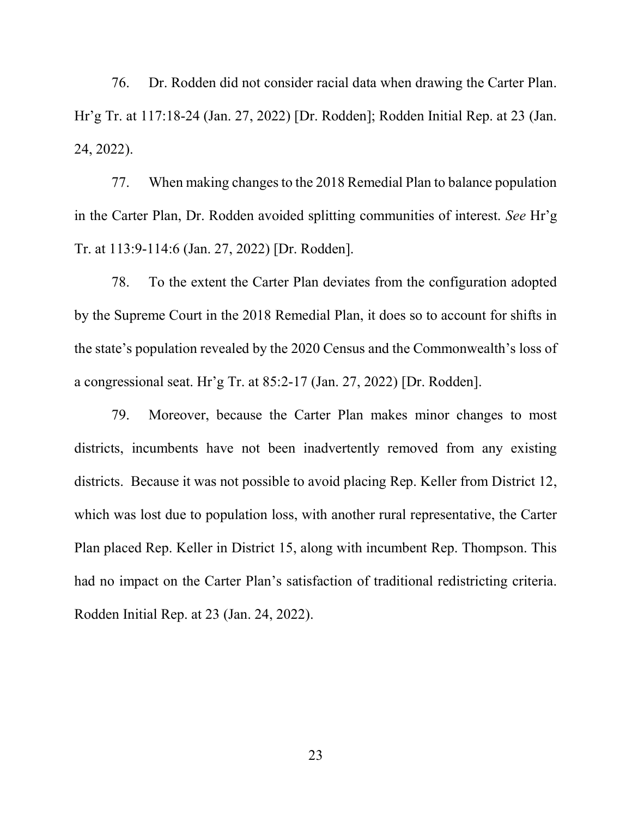76. Dr. Rodden did not consider racial data when drawing the Carter Plan. Hr'g Tr. at 117:18-24 (Jan. 27, 2022) [Dr. Rodden]; Rodden Initial Rep. at 23 (Jan. 24, 2022).

77. When making changes to the 2018 Remedial Plan to balance population in the Carter Plan, Dr. Rodden avoided splitting communities of interest. See Hr'g Tr. at 113:9-114:6 (Jan. 27, 2022) [Dr. Rodden].

78. To the extent the Carter Plan deviates from the configuration adopted by the Supreme Court in the 2018 Remedial Plan, it does so to account for shifts in the state's population revealed by the 2020 Census and the Commonwealth's loss of a congressional seat. Hr'g Tr. at 85:2-17 (Jan. 27, 2022) [Dr. Rodden].

79. Moreover, because the Carter Plan makes minor changes to most districts, incumbents have not been inadvertently removed from any existing districts. Because it was not possible to avoid placing Rep. Keller from District 12, which was lost due to population loss, with another rural representative, the Carter Plan placed Rep. Keller in District 15, along with incumbent Rep. Thompson. This had no impact on the Carter Plan's satisfaction of traditional redistricting criteria. Rodden Initial Rep. at 23 (Jan. 24, 2022).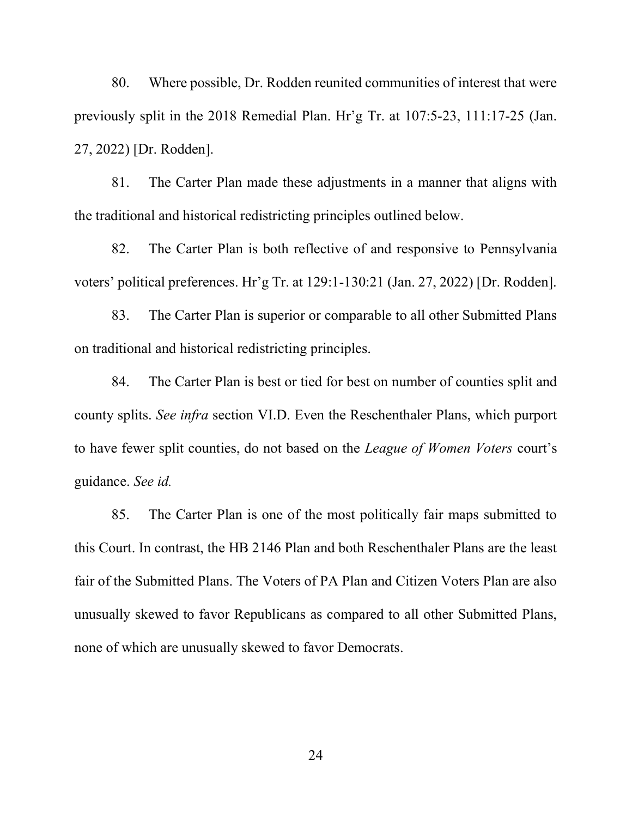80. Where possible, Dr. Rodden reunited communities of interest that were previously split in the 2018 Remedial Plan. Hr'g Tr. at 107:5-23, 111:17-25 (Jan. 27, 2022) [Dr. Rodden].

81. The Carter Plan made these adjustments in a manner that aligns with the traditional and historical redistricting principles outlined below.

82. The Carter Plan is both reflective of and responsive to Pennsylvania voters' political preferences. Hr'g Tr. at 129:1-130:21 (Jan. 27, 2022) [Dr. Rodden].

83. The Carter Plan is superior or comparable to all other Submitted Plans on traditional and historical redistricting principles.

84. The Carter Plan is best or tied for best on number of counties split and county splits. See infra section VI.D. Even the Reschenthaler Plans, which purport to have fewer split counties, do not based on the League of Women Voters court's guidance. See id.

85. The Carter Plan is one of the most politically fair maps submitted to this Court. In contrast, the HB 2146 Plan and both Reschenthaler Plans are the least fair of the Submitted Plans. The Voters of PA Plan and Citizen Voters Plan are also unusually skewed to favor Republicans as compared to all other Submitted Plans, none of which are unusually skewed to favor Democrats.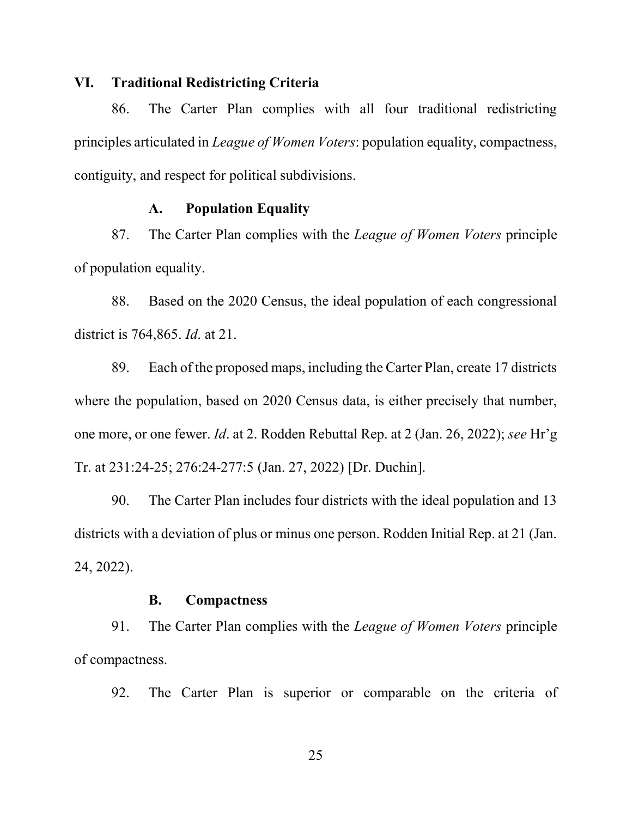## VI. Traditional Redistricting Criteria

86. The Carter Plan complies with all four traditional redistricting principles articulated in League of Women Voters: population equality, compactness, contiguity, and respect for political subdivisions.

## A. Population Equality

87. The Carter Plan complies with the League of Women Voters principle of population equality.

88. Based on the 2020 Census, the ideal population of each congressional district is 764,865. Id. at 21.

89. Each of the proposed maps, including the Carter Plan, create 17 districts where the population, based on 2020 Census data, is either precisely that number, one more, or one fewer. Id. at 2. Rodden Rebuttal Rep. at 2 (Jan. 26, 2022); see Hr'g Tr. at 231:24-25; 276:24-277:5 (Jan. 27, 2022) [Dr. Duchin].

90. The Carter Plan includes four districts with the ideal population and 13 districts with a deviation of plus or minus one person. Rodden Initial Rep. at 21 (Jan. 24, 2022).

#### B. Compactness

91. The Carter Plan complies with the *League of Women Voters* principle of compactness.

92. The Carter Plan is superior or comparable on the criteria of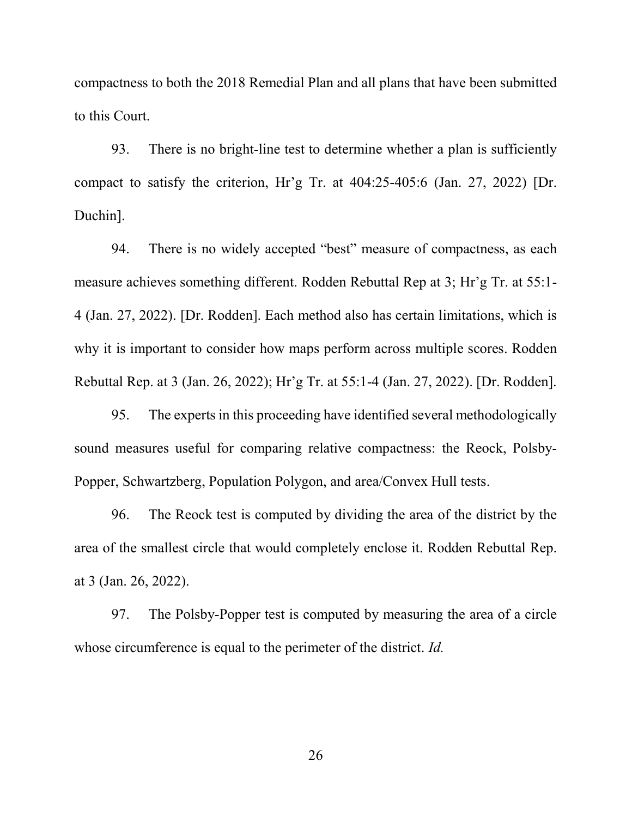compactness to both the 2018 Remedial Plan and all plans that have been submitted to this Court.

93. There is no bright-line test to determine whether a plan is sufficiently compact to satisfy the criterion, Hr'g Tr. at 404:25-405:6 (Jan. 27, 2022) [Dr. Duchin].

94. There is no widely accepted "best" measure of compactness, as each measure achieves something different. Rodden Rebuttal Rep at 3; Hr'g Tr. at 55:1- 4 (Jan. 27, 2022). [Dr. Rodden]. Each method also has certain limitations, which is why it is important to consider how maps perform across multiple scores. Rodden Rebuttal Rep. at 3 (Jan. 26, 2022); Hr'g Tr. at 55:1-4 (Jan. 27, 2022). [Dr. Rodden].

95. The experts in this proceeding have identified several methodologically sound measures useful for comparing relative compactness: the Reock, Polsby-Popper, Schwartzberg, Population Polygon, and area/Convex Hull tests.

96. The Reock test is computed by dividing the area of the district by the area of the smallest circle that would completely enclose it. Rodden Rebuttal Rep. at 3 (Jan. 26, 2022).

97. The Polsby-Popper test is computed by measuring the area of a circle whose circumference is equal to the perimeter of the district. *Id.*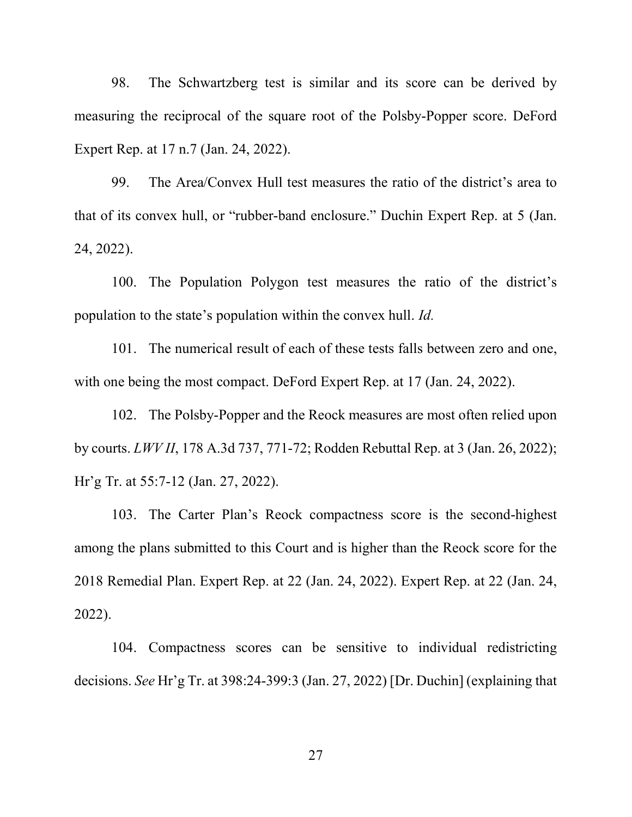98. The Schwartzberg test is similar and its score can be derived by measuring the reciprocal of the square root of the Polsby-Popper score. DeFord Expert Rep. at 17 n.7 (Jan. 24, 2022).

99. The Area/Convex Hull test measures the ratio of the district's area to that of its convex hull, or "rubber-band enclosure." Duchin Expert Rep. at 5 (Jan. 24, 2022).

100. The Population Polygon test measures the ratio of the district's population to the state's population within the convex hull. Id.

101. The numerical result of each of these tests falls between zero and one, with one being the most compact. DeFord Expert Rep. at 17 (Jan. 24, 2022).

102. The Polsby-Popper and the Reock measures are most often relied upon by courts. LWV II, 178 A.3d 737, 771-72; Rodden Rebuttal Rep. at 3 (Jan. 26, 2022); Hr'g Tr. at 55:7-12 (Jan. 27, 2022).

103. The Carter Plan's Reock compactness score is the second-highest among the plans submitted to this Court and is higher than the Reock score for the 2018 Remedial Plan. Expert Rep. at 22 (Jan. 24, 2022). Expert Rep. at 22 (Jan. 24, 2022).

104. Compactness scores can be sensitive to individual redistricting decisions. See Hr'g Tr. at 398:24-399:3 (Jan. 27, 2022) [Dr. Duchin] (explaining that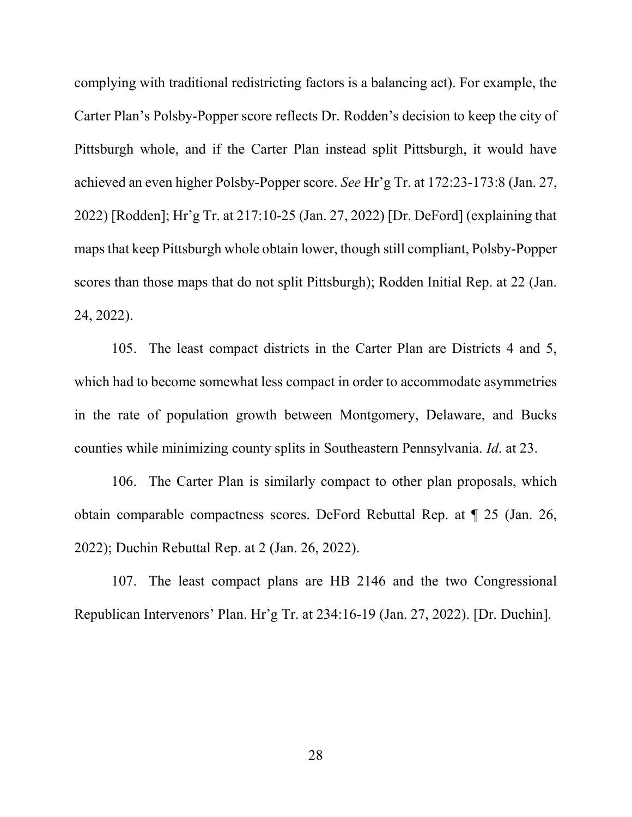complying with traditional redistricting factors is a balancing act). For example, the Carter Plan's Polsby-Popper score reflects Dr. Rodden's decision to keep the city of Pittsburgh whole, and if the Carter Plan instead split Pittsburgh, it would have achieved an even higher Polsby-Popper score. See Hr'g Tr. at 172:23-173:8 (Jan. 27, 2022) [Rodden]; Hr'g Tr. at 217:10-25 (Jan. 27, 2022) [Dr. DeFord] (explaining that maps that keep Pittsburgh whole obtain lower, though still compliant, Polsby-Popper scores than those maps that do not split Pittsburgh); Rodden Initial Rep. at 22 (Jan. 24, 2022).

105. The least compact districts in the Carter Plan are Districts 4 and 5, which had to become somewhat less compact in order to accommodate asymmetries in the rate of population growth between Montgomery, Delaware, and Bucks counties while minimizing county splits in Southeastern Pennsylvania. Id. at 23.

106. The Carter Plan is similarly compact to other plan proposals, which obtain comparable compactness scores. DeFord Rebuttal Rep. at ¶ 25 (Jan. 26, 2022); Duchin Rebuttal Rep. at 2 (Jan. 26, 2022).

107. The least compact plans are HB 2146 and the two Congressional Republican Intervenors' Plan. Hr'g Tr. at 234:16-19 (Jan. 27, 2022). [Dr. Duchin].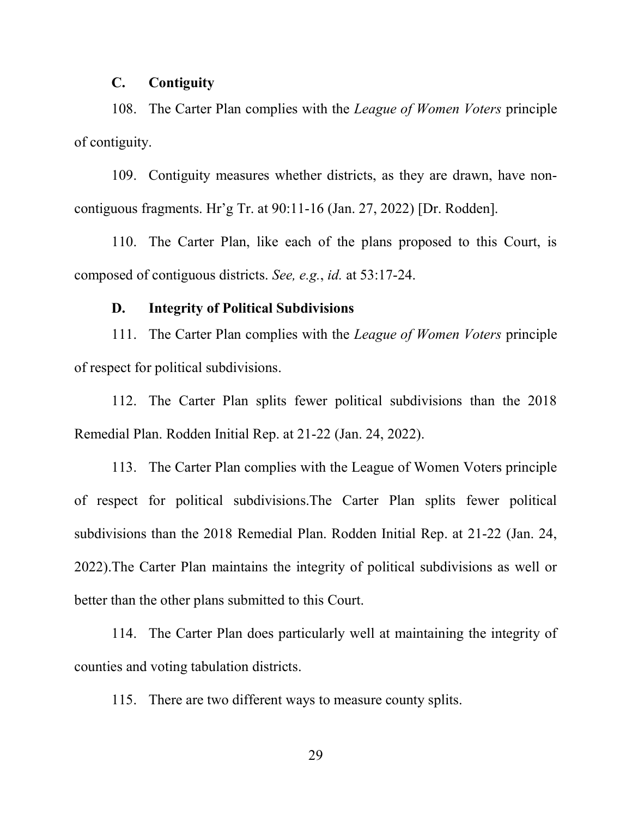# C. Contiguity

108. The Carter Plan complies with the League of Women Voters principle of contiguity.

109. Contiguity measures whether districts, as they are drawn, have noncontiguous fragments. Hr'g Tr. at 90:11-16 (Jan. 27, 2022) [Dr. Rodden].

110. The Carter Plan, like each of the plans proposed to this Court, is composed of contiguous districts. See, e.g., id. at 53:17-24.

## D. Integrity of Political Subdivisions

111. The Carter Plan complies with the League of Women Voters principle of respect for political subdivisions.

112. The Carter Plan splits fewer political subdivisions than the 2018 Remedial Plan. Rodden Initial Rep. at 21-22 (Jan. 24, 2022).

113. The Carter Plan complies with the League of Women Voters principle of respect for political subdivisions.The Carter Plan splits fewer political subdivisions than the 2018 Remedial Plan. Rodden Initial Rep. at 21-22 (Jan. 24, 2022).The Carter Plan maintains the integrity of political subdivisions as well or better than the other plans submitted to this Court.

114. The Carter Plan does particularly well at maintaining the integrity of counties and voting tabulation districts.

115. There are two different ways to measure county splits.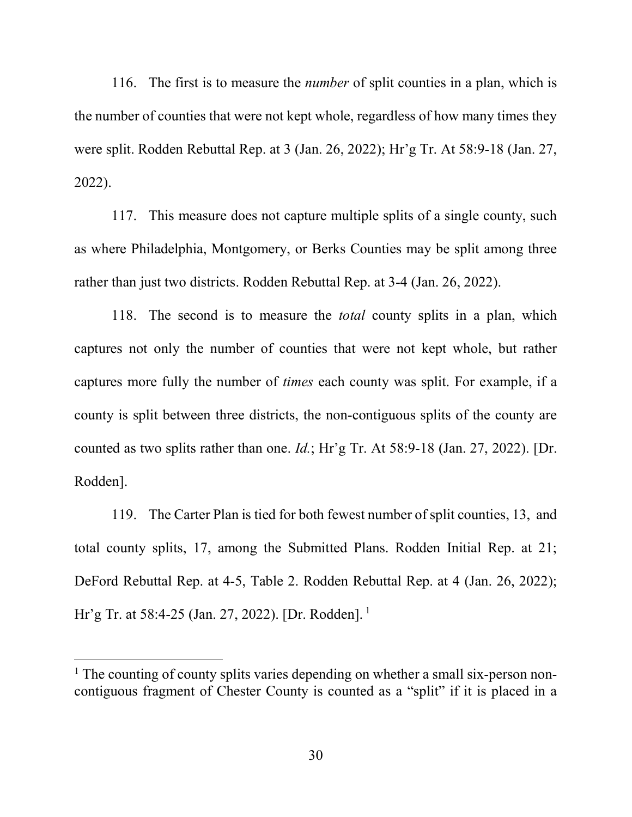116. The first is to measure the *number* of split counties in a plan, which is the number of counties that were not kept whole, regardless of how many times they were split. Rodden Rebuttal Rep. at 3 (Jan. 26, 2022); Hr'g Tr. At 58:9-18 (Jan. 27, 2022).

117. This measure does not capture multiple splits of a single county, such as where Philadelphia, Montgomery, or Berks Counties may be split among three rather than just two districts. Rodden Rebuttal Rep. at 3-4 (Jan. 26, 2022).

118. The second is to measure the *total* county splits in a plan, which captures not only the number of counties that were not kept whole, but rather captures more fully the number of times each county was split. For example, if a county is split between three districts, the non-contiguous splits of the county are counted as two splits rather than one.  $Id$ ; Hr'g Tr. At 58:9-18 (Jan. 27, 2022). [Dr. Rodden].

119. The Carter Plan is tied for both fewest number of split counties, 13, and total county splits, 17, among the Submitted Plans. Rodden Initial Rep. at 21; DeFord Rebuttal Rep. at 4-5, Table 2. Rodden Rebuttal Rep. at 4 (Jan. 26, 2022); Hr'g Tr. at 58:4-25 (Jan. 27, 2022). [Dr. Rodden].<sup>1</sup>

<sup>&</sup>lt;sup>1</sup> The counting of county splits varies depending on whether a small six-person noncontiguous fragment of Chester County is counted as a "split" if it is placed in a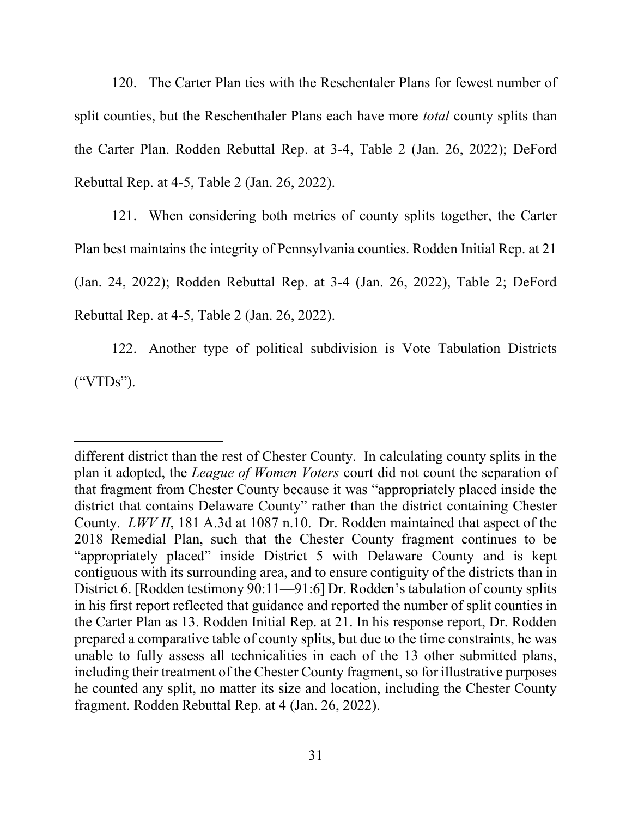120. The Carter Plan ties with the Reschentaler Plans for fewest number of split counties, but the Reschenthaler Plans each have more *total* county splits than the Carter Plan. Rodden Rebuttal Rep. at 3-4, Table 2 (Jan. 26, 2022); DeFord Rebuttal Rep. at 4-5, Table 2 (Jan. 26, 2022).

121. When considering both metrics of county splits together, the Carter Plan best maintains the integrity of Pennsylvania counties. Rodden Initial Rep. at 21 (Jan. 24, 2022); Rodden Rebuttal Rep. at 3-4 (Jan. 26, 2022), Table 2; DeFord Rebuttal Rep. at 4-5, Table 2 (Jan. 26, 2022).

122. Another type of political subdivision is Vote Tabulation Districts ("VTDs").

different district than the rest of Chester County. In calculating county splits in the plan it adopted, the League of Women Voters court did not count the separation of that fragment from Chester County because it was "appropriately placed inside the district that contains Delaware County" rather than the district containing Chester County. LWV II, 181 A.3d at 1087 n.10. Dr. Rodden maintained that aspect of the 2018 Remedial Plan, such that the Chester County fragment continues to be "appropriately placed" inside District 5 with Delaware County and is kept contiguous with its surrounding area, and to ensure contiguity of the districts than in District 6. [Rodden testimony 90:11—91:6] Dr. Rodden's tabulation of county splits in his first report reflected that guidance and reported the number of split counties in the Carter Plan as 13. Rodden Initial Rep. at 21. In his response report, Dr. Rodden prepared a comparative table of county splits, but due to the time constraints, he was unable to fully assess all technicalities in each of the 13 other submitted plans, including their treatment of the Chester County fragment, so for illustrative purposes he counted any split, no matter its size and location, including the Chester County fragment. Rodden Rebuttal Rep. at 4 (Jan. 26, 2022).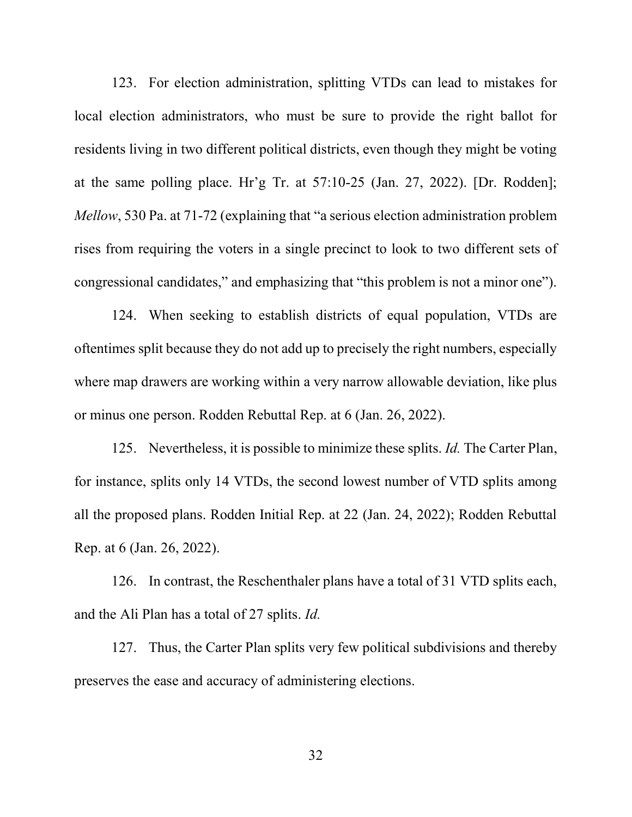123. For election administration, splitting VTDs can lead to mistakes for local election administrators, who must be sure to provide the right ballot for residents living in two different political districts, even though they might be voting at the same polling place. Hr'g Tr. at 57:10-25 (Jan. 27, 2022). [Dr. Rodden]; Mellow, 530 Pa. at 71-72 (explaining that "a serious election administration problem rises from requiring the voters in a single precinct to look to two different sets of congressional candidates," and emphasizing that "this problem is not a minor one").

124. When seeking to establish districts of equal population, VTDs are oftentimes split because they do not add up to precisely the right numbers, especially where map drawers are working within a very narrow allowable deviation, like plus or minus one person. Rodden Rebuttal Rep. at 6 (Jan. 26, 2022).

125. Nevertheless, it is possible to minimize these splits. *Id.* The Carter Plan, for instance, splits only 14 VTDs, the second lowest number of VTD splits among all the proposed plans. Rodden Initial Rep. at 22 (Jan. 24, 2022); Rodden Rebuttal Rep. at 6 (Jan. 26, 2022).

126. In contrast, the Reschenthaler plans have a total of 31 VTD splits each, and the Ali Plan has a total of 27 splits. Id.

127. Thus, the Carter Plan splits very few political subdivisions and thereby preserves the ease and accuracy of administering elections.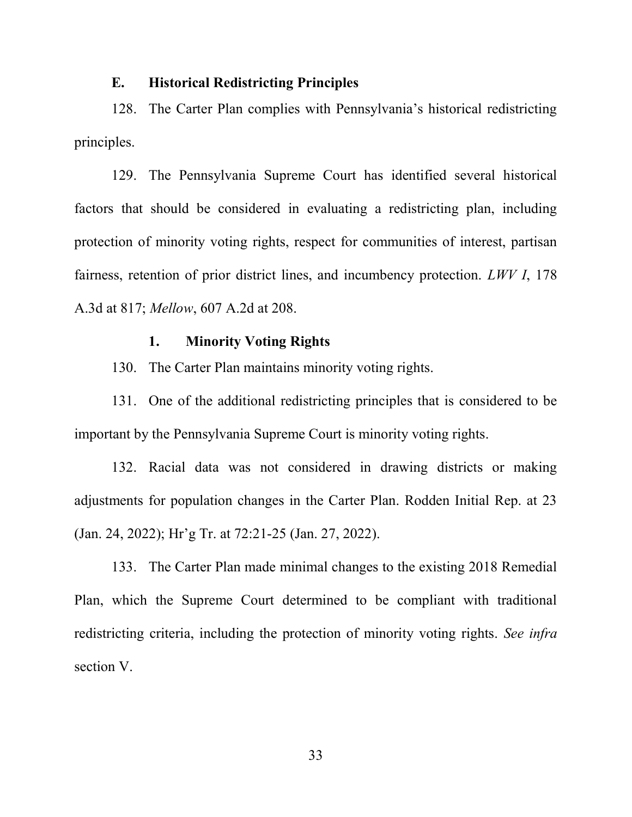#### E. Historical Redistricting Principles

128. The Carter Plan complies with Pennsylvania's historical redistricting principles.

129. The Pennsylvania Supreme Court has identified several historical factors that should be considered in evaluating a redistricting plan, including protection of minority voting rights, respect for communities of interest, partisan fairness, retention of prior district lines, and incumbency protection. LWV I, 178 A.3d at 817; Mellow, 607 A.2d at 208.

## 1. Minority Voting Rights

130. The Carter Plan maintains minority voting rights.

131. One of the additional redistricting principles that is considered to be important by the Pennsylvania Supreme Court is minority voting rights.

132. Racial data was not considered in drawing districts or making adjustments for population changes in the Carter Plan. Rodden Initial Rep. at 23 (Jan. 24, 2022); Hr'g Tr. at 72:21-25 (Jan. 27, 2022).

133. The Carter Plan made minimal changes to the existing 2018 Remedial Plan, which the Supreme Court determined to be compliant with traditional redistricting criteria, including the protection of minority voting rights. See infra section V.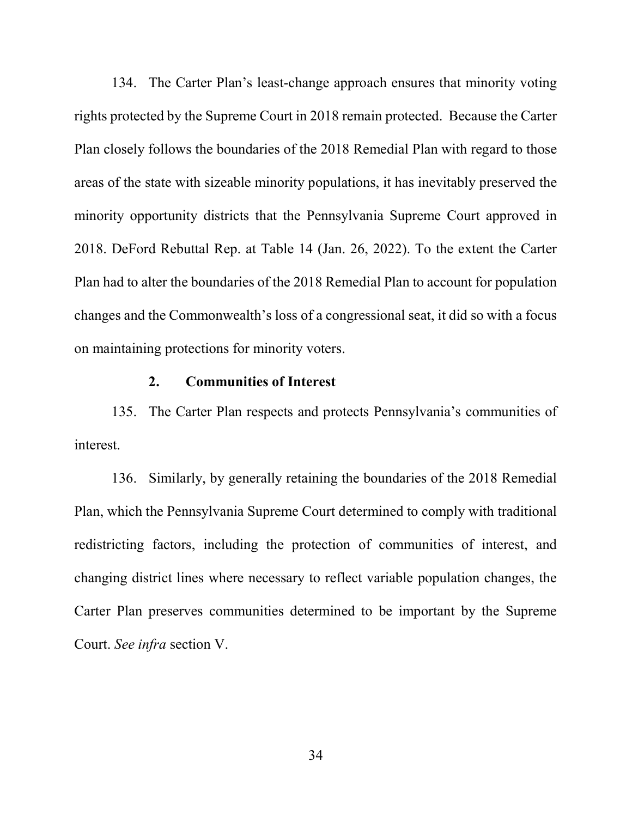134. The Carter Plan's least-change approach ensures that minority voting rights protected by the Supreme Court in 2018 remain protected. Because the Carter Plan closely follows the boundaries of the 2018 Remedial Plan with regard to those areas of the state with sizeable minority populations, it has inevitably preserved the minority opportunity districts that the Pennsylvania Supreme Court approved in 2018. DeFord Rebuttal Rep. at Table 14 (Jan. 26, 2022). To the extent the Carter Plan had to alter the boundaries of the 2018 Remedial Plan to account for population changes and the Commonwealth's loss of a congressional seat, it did so with a focus on maintaining protections for minority voters.

# 2. Communities of Interest

135. The Carter Plan respects and protects Pennsylvania's communities of interest.

136. Similarly, by generally retaining the boundaries of the 2018 Remedial Plan, which the Pennsylvania Supreme Court determined to comply with traditional redistricting factors, including the protection of communities of interest, and changing district lines where necessary to reflect variable population changes, the Carter Plan preserves communities determined to be important by the Supreme Court. See infra section V.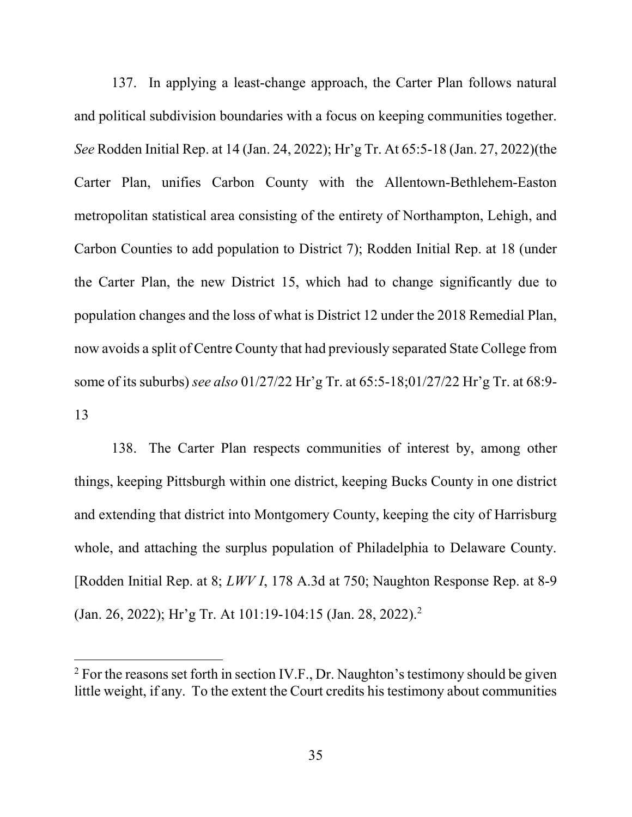137. In applying a least-change approach, the Carter Plan follows natural and political subdivision boundaries with a focus on keeping communities together. See Rodden Initial Rep. at 14 (Jan. 24, 2022); Hr'g Tr. At 65:5-18 (Jan. 27, 2022)(the Carter Plan, unifies Carbon County with the Allentown-Bethlehem-Easton metropolitan statistical area consisting of the entirety of Northampton, Lehigh, and Carbon Counties to add population to District 7); Rodden Initial Rep. at 18 (under the Carter Plan, the new District 15, which had to change significantly due to population changes and the loss of what is District 12 under the 2018 Remedial Plan, now avoids a split of Centre County that had previously separated State College from some of its suburbs) see also 01/27/22 Hr'g Tr. at 65:5-18;01/27/22 Hr'g Tr. at 68:9- 13

138. The Carter Plan respects communities of interest by, among other things, keeping Pittsburgh within one district, keeping Bucks County in one district and extending that district into Montgomery County, keeping the city of Harrisburg whole, and attaching the surplus population of Philadelphia to Delaware County. [Rodden Initial Rep. at 8; LWV I, 178 A.3d at 750; Naughton Response Rep. at 8-9 (Jan. 26, 2022); Hr'g Tr. At 101:19-104:15 (Jan. 28, 2022).<sup>2</sup>

 $2^2$  For the reasons set forth in section IV.F., Dr. Naughton's testimony should be given little weight, if any. To the extent the Court credits his testimony about communities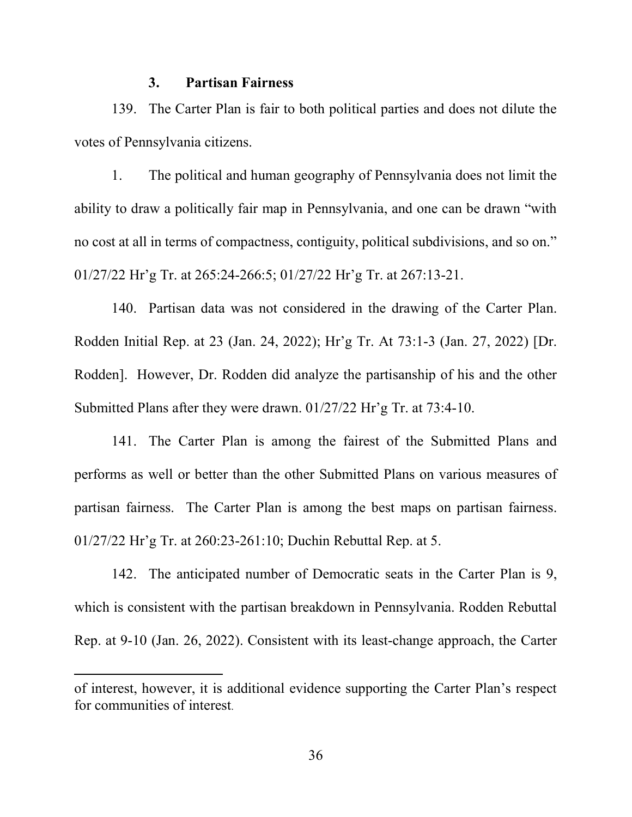#### 3. Partisan Fairness

139. The Carter Plan is fair to both political parties and does not dilute the votes of Pennsylvania citizens.

1. The political and human geography of Pennsylvania does not limit the ability to draw a politically fair map in Pennsylvania, and one can be drawn "with no cost at all in terms of compactness, contiguity, political subdivisions, and so on." 01/27/22 Hr'g Tr. at 265:24-266:5; 01/27/22 Hr'g Tr. at 267:13-21.

140. Partisan data was not considered in the drawing of the Carter Plan. Rodden Initial Rep. at 23 (Jan. 24, 2022); Hr'g Tr. At 73:1-3 (Jan. 27, 2022) [Dr. Rodden]. However, Dr. Rodden did analyze the partisanship of his and the other Submitted Plans after they were drawn. 01/27/22 Hr'g Tr. at 73:4-10.

141. The Carter Plan is among the fairest of the Submitted Plans and performs as well or better than the other Submitted Plans on various measures of partisan fairness. The Carter Plan is among the best maps on partisan fairness. 01/27/22 Hr'g Tr. at 260:23-261:10; Duchin Rebuttal Rep. at 5.

142. The anticipated number of Democratic seats in the Carter Plan is 9, which is consistent with the partisan breakdown in Pennsylvania. Rodden Rebuttal Rep. at 9-10 (Jan. 26, 2022). Consistent with its least-change approach, the Carter

of interest, however, it is additional evidence supporting the Carter Plan's respect for communities of interest.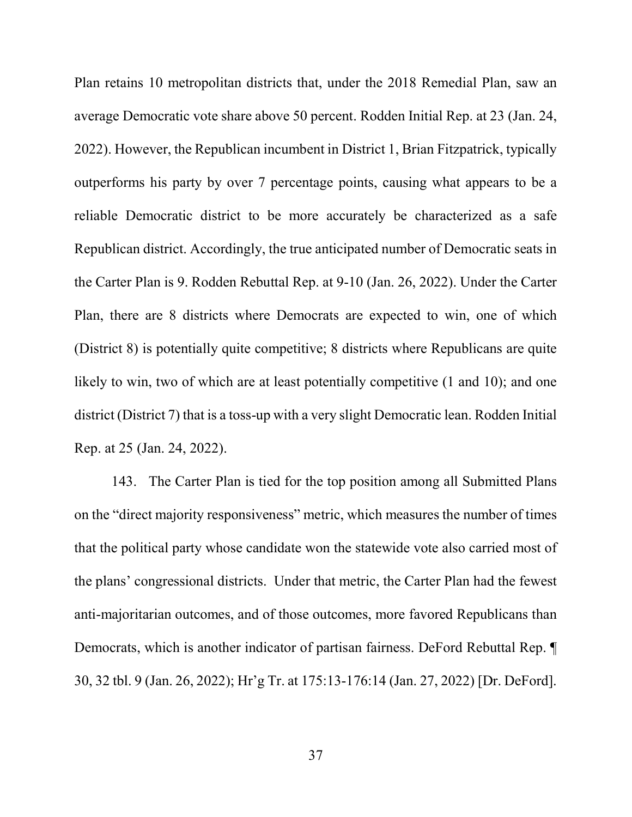Plan retains 10 metropolitan districts that, under the 2018 Remedial Plan, saw an average Democratic vote share above 50 percent. Rodden Initial Rep. at 23 (Jan. 24, 2022). However, the Republican incumbent in District 1, Brian Fitzpatrick, typically outperforms his party by over 7 percentage points, causing what appears to be a reliable Democratic district to be more accurately be characterized as a safe Republican district. Accordingly, the true anticipated number of Democratic seats in the Carter Plan is 9. Rodden Rebuttal Rep. at 9-10 (Jan. 26, 2022). Under the Carter Plan, there are 8 districts where Democrats are expected to win, one of which (District 8) is potentially quite competitive; 8 districts where Republicans are quite likely to win, two of which are at least potentially competitive  $(1 \text{ and } 10)$ ; and one district (District 7) that is a toss-up with a very slight Democratic lean. Rodden Initial Rep. at 25 (Jan. 24, 2022).

143. The Carter Plan is tied for the top position among all Submitted Plans on the "direct majority responsiveness" metric, which measures the number of times that the political party whose candidate won the statewide vote also carried most of the plans' congressional districts. Under that metric, the Carter Plan had the fewest anti-majoritarian outcomes, and of those outcomes, more favored Republicans than Democrats, which is another indicator of partisan fairness. DeFord Rebuttal Rep. ¶ 30, 32 tbl. 9 (Jan. 26, 2022); Hr'g Tr. at 175:13-176:14 (Jan. 27, 2022) [Dr. DeFord].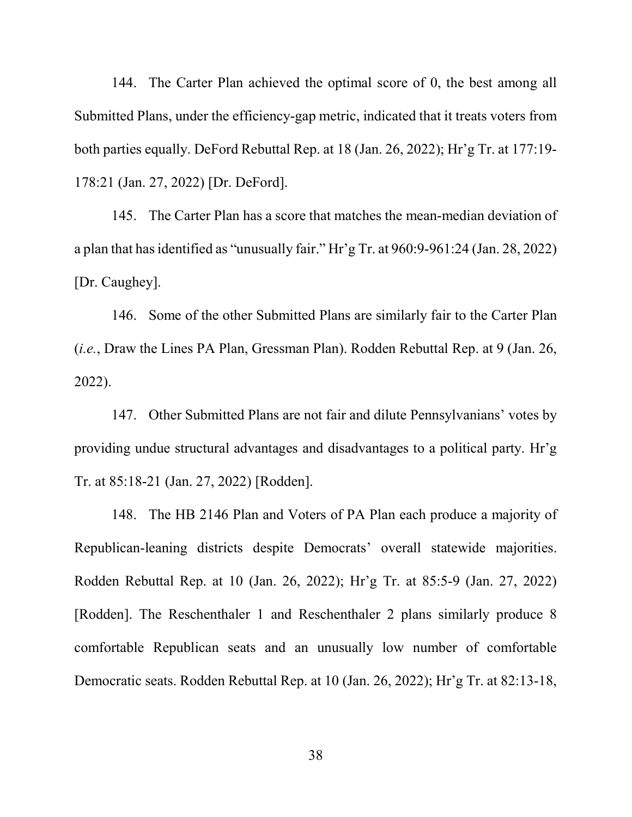144. The Carter Plan achieved the optimal score of 0, the best among all Submitted Plans, under the efficiency-gap metric, indicated that it treats voters from both parties equally. DeFord Rebuttal Rep. at 18 (Jan. 26, 2022); Hr'g Tr. at 177:19- 178:21 (Jan. 27, 2022) [Dr. DeFord].

145. The Carter Plan has a score that matches the mean-median deviation of a plan that has identified as "unusually fair." Hr'g Tr. at 960:9-961:24 (Jan. 28, 2022) [Dr. Caughey].

146. Some of the other Submitted Plans are similarly fair to the Carter Plan (i.e., Draw the Lines PA Plan, Gressman Plan). Rodden Rebuttal Rep. at 9 (Jan. 26, 2022).

147. Other Submitted Plans are not fair and dilute Pennsylvanians' votes by providing undue structural advantages and disadvantages to a political party. Hr'g Tr. at 85:18-21 (Jan. 27, 2022) [Rodden].

148. The HB 2146 Plan and Voters of PA Plan each produce a majority of Republican-leaning districts despite Democrats' overall statewide majorities. Rodden Rebuttal Rep. at 10 (Jan. 26, 2022); Hr'g Tr. at 85:5-9 (Jan. 27, 2022) [Rodden]. The Reschenthaler 1 and Reschenthaler 2 plans similarly produce 8 comfortable Republican seats and an unusually low number of comfortable Democratic seats. Rodden Rebuttal Rep. at 10 (Jan. 26, 2022); Hr'g Tr. at 82:13-18,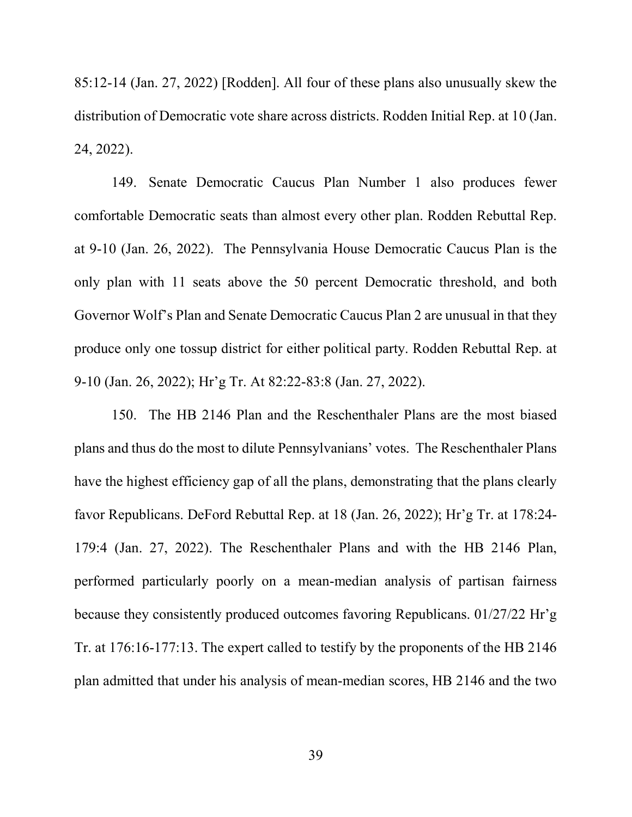85:12-14 (Jan. 27, 2022) [Rodden]. All four of these plans also unusually skew the distribution of Democratic vote share across districts. Rodden Initial Rep. at 10 (Jan. 24, 2022).

149. Senate Democratic Caucus Plan Number 1 also produces fewer comfortable Democratic seats than almost every other plan. Rodden Rebuttal Rep. at 9-10 (Jan. 26, 2022). The Pennsylvania House Democratic Caucus Plan is the only plan with 11 seats above the 50 percent Democratic threshold, and both Governor Wolf's Plan and Senate Democratic Caucus Plan 2 are unusual in that they produce only one tossup district for either political party. Rodden Rebuttal Rep. at 9-10 (Jan. 26, 2022); Hr'g Tr. At 82:22-83:8 (Jan. 27, 2022).

150. The HB 2146 Plan and the Reschenthaler Plans are the most biased plans and thus do the most to dilute Pennsylvanians' votes. The Reschenthaler Plans have the highest efficiency gap of all the plans, demonstrating that the plans clearly favor Republicans. DeFord Rebuttal Rep. at 18 (Jan. 26, 2022); Hr'g Tr. at 178:24- 179:4 (Jan. 27, 2022). The Reschenthaler Plans and with the HB 2146 Plan, performed particularly poorly on a mean-median analysis of partisan fairness because they consistently produced outcomes favoring Republicans. 01/27/22 Hr'g Tr. at 176:16-177:13. The expert called to testify by the proponents of the HB 2146 plan admitted that under his analysis of mean-median scores, HB 2146 and the two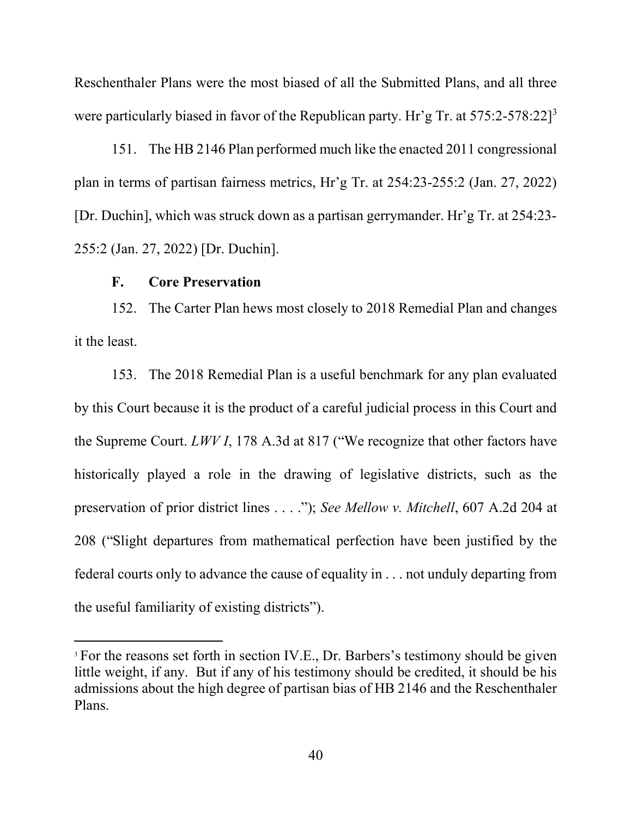Reschenthaler Plans were the most biased of all the Submitted Plans, and all three were particularly biased in favor of the Republican party. Hr'g Tr. at 575:2-578:22]<sup>3</sup>

151. The HB 2146 Plan performed much like the enacted 2011 congressional plan in terms of partisan fairness metrics, Hr'g Tr. at 254:23-255:2 (Jan. 27, 2022) [Dr. Duchin], which was struck down as a partisan gerrymander. Hr'g Tr. at 254:23- 255:2 (Jan. 27, 2022) [Dr. Duchin].

## F. Core Preservation

152. The Carter Plan hews most closely to 2018 Remedial Plan and changes it the least.

153. The 2018 Remedial Plan is a useful benchmark for any plan evaluated by this Court because it is the product of a careful judicial process in this Court and the Supreme Court. LWV I, 178 A.3d at 817 ("We recognize that other factors have historically played a role in the drawing of legislative districts, such as the preservation of prior district lines . . . ."); See Mellow v. Mitchell, 607 A.2d 204 at 208 ("Slight departures from mathematical perfection have been justified by the federal courts only to advance the cause of equality in . . . not unduly departing from the useful familiarity of existing districts").

<sup>&</sup>lt;sup>3</sup> For the reasons set forth in section IV.E., Dr. Barbers's testimony should be given little weight, if any. But if any of his testimony should be credited, it should be his admissions about the high degree of partisan bias of HB 2146 and the Reschenthaler Plans.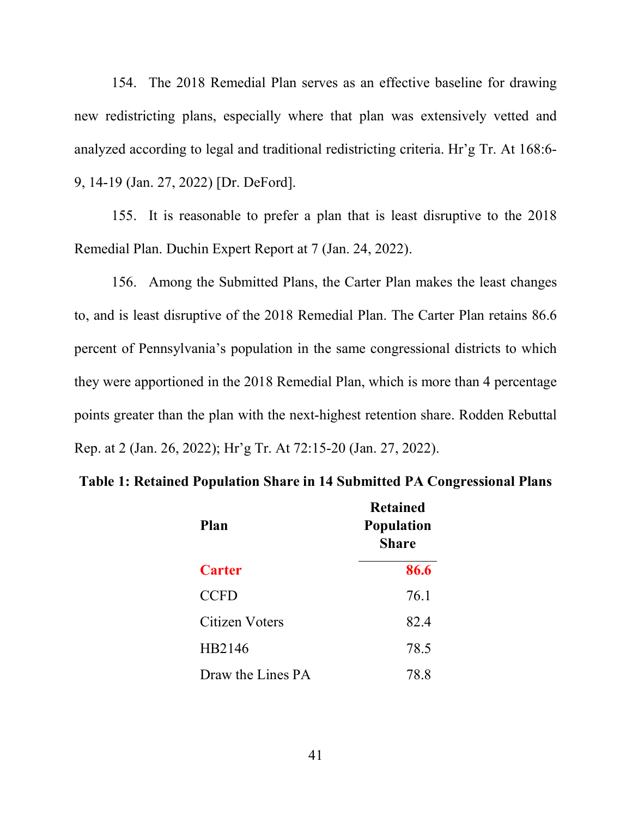154. The 2018 Remedial Plan serves as an effective baseline for drawing new redistricting plans, especially where that plan was extensively vetted and analyzed according to legal and traditional redistricting criteria. Hr'g Tr. At 168:6- 9, 14-19 (Jan. 27, 2022) [Dr. DeFord].

155. It is reasonable to prefer a plan that is least disruptive to the 2018 Remedial Plan. Duchin Expert Report at 7 (Jan. 24, 2022).

156. Among the Submitted Plans, the Carter Plan makes the least changes to, and is least disruptive of the 2018 Remedial Plan. The Carter Plan retains 86.6 percent of Pennsylvania's population in the same congressional districts to which they were apportioned in the 2018 Remedial Plan, which is more than 4 percentage points greater than the plan with the next-highest retention share. Rodden Rebuttal Rep. at 2 (Jan. 26, 2022); Hr'g Tr. At 72:15-20 (Jan. 27, 2022).

|  |  |  | Table 1: Retained Population Share in 14 Submitted PA Congressional Plans |
|--|--|--|---------------------------------------------------------------------------|
|  |  |  |                                                                           |

| Plan              | Refained<br><b>Population</b><br><b>Share</b> |
|-------------------|-----------------------------------------------|
| <b>Carter</b>     | 86.6                                          |
| <b>CCFD</b>       | 76.1                                          |
| Citizen Voters    | 82.4                                          |
| HB2146            | 78.5                                          |
| Draw the Lines PA | 78.8                                          |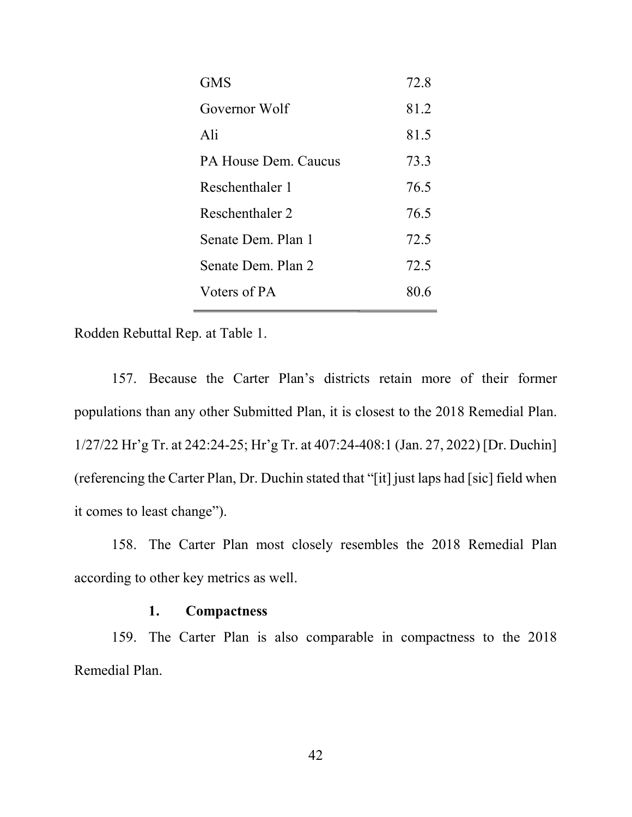| <b>GMS</b>           | 72.8 |
|----------------------|------|
| Governor Wolf        | 81.2 |
| Ali                  | 81.5 |
| PA House Dem. Caucus | 73.3 |
| Reschenthaler 1      | 76.5 |
| Reschenthaler 2      | 76.5 |
| Senate Dem. Plan 1   | 72.5 |
| Senate Dem. Plan 2   | 72.5 |
| Voters of PA         | 80.6 |
|                      |      |

Rodden Rebuttal Rep. at Table 1.

157. Because the Carter Plan's districts retain more of their former populations than any other Submitted Plan, it is closest to the 2018 Remedial Plan. 1/27/22 Hr'g Tr. at 242:24-25; Hr'g Tr. at 407:24-408:1 (Jan. 27, 2022) [Dr. Duchin] (referencing the Carter Plan, Dr. Duchin stated that "[it] just laps had [sic] field when it comes to least change").

158. The Carter Plan most closely resembles the 2018 Remedial Plan according to other key metrics as well.

# 1. Compactness

159. The Carter Plan is also comparable in compactness to the 2018 Remedial Plan.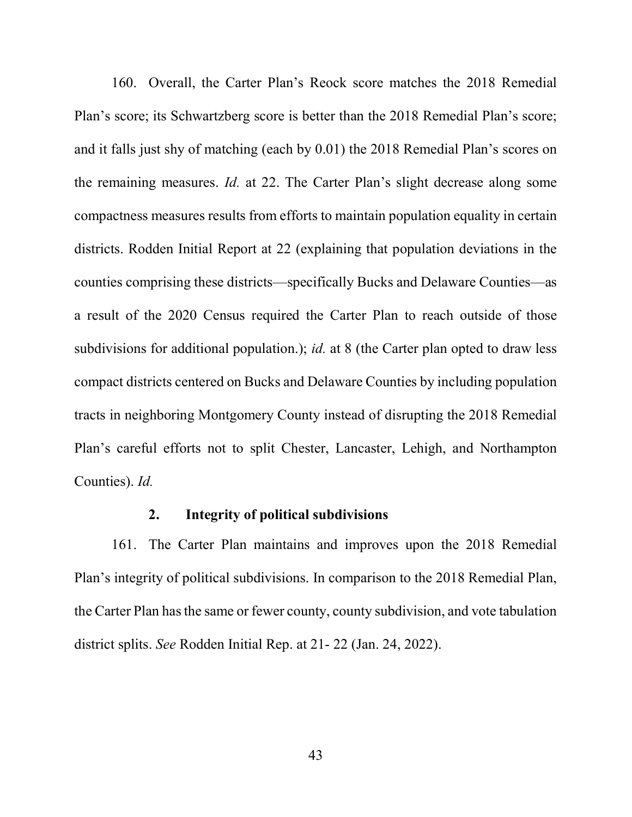160. Overall, the Carter Plan's Reock score matches the 2018 Remedial Plan's score; its Schwartzberg score is better than the 2018 Remedial Plan's score; and it falls just shy of matching (each by 0.01) the 2018 Remedial Plan's scores on the remaining measures. Id. at 22. The Carter Plan's slight decrease along some compactness measures results from efforts to maintain population equality in certain districts. Rodden Initial Report at 22 (explaining that population deviations in the counties comprising these districts—specifically Bucks and Delaware Counties—as a result of the 2020 Census required the Carter Plan to reach outside of those subdivisions for additional population.); *id.* at 8 (the Carter plan opted to draw less compact districts centered on Bucks and Delaware Counties by including population tracts in neighboring Montgomery County instead of disrupting the 2018 Remedial Plan's careful efforts not to split Chester, Lancaster, Lehigh, and Northampton Counties). Id.

## 2. Integrity of political subdivisions

161. The Carter Plan maintains and improves upon the 2018 Remedial Plan's integrity of political subdivisions. In comparison to the 2018 Remedial Plan, the Carter Plan has the same or fewer county, county subdivision, and vote tabulation district splits. See Rodden Initial Rep. at 21- 22 (Jan. 24, 2022).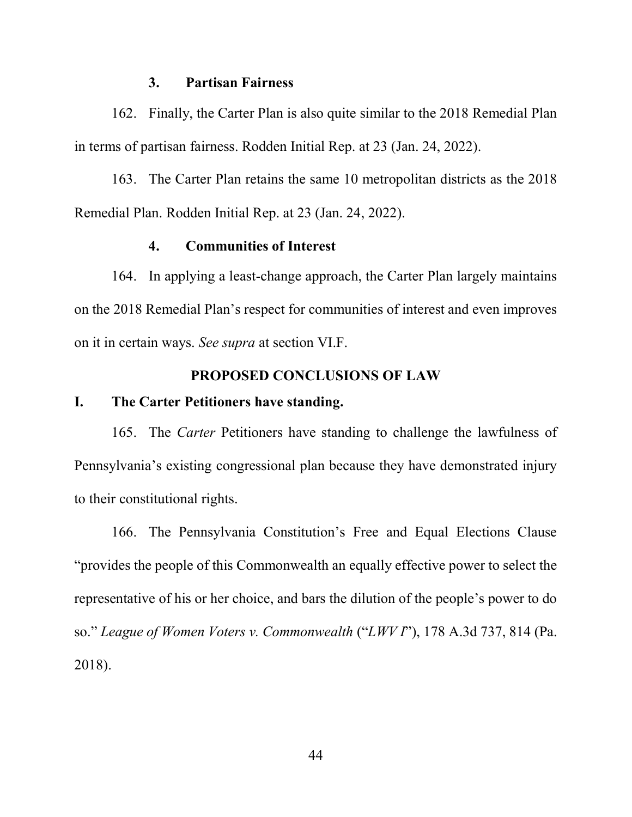#### 3. Partisan Fairness

162. Finally, the Carter Plan is also quite similar to the 2018 Remedial Plan in terms of partisan fairness. Rodden Initial Rep. at 23 (Jan. 24, 2022).

163. The Carter Plan retains the same 10 metropolitan districts as the 2018 Remedial Plan. Rodden Initial Rep. at 23 (Jan. 24, 2022).

# 4. Communities of Interest

164. In applying a least-change approach, the Carter Plan largely maintains on the 2018 Remedial Plan's respect for communities of interest and even improves on it in certain ways. See supra at section VI.F.

# PROPOSED CONCLUSIONS OF LAW

# I. The Carter Petitioners have standing.

165. The Carter Petitioners have standing to challenge the lawfulness of Pennsylvania's existing congressional plan because they have demonstrated injury to their constitutional rights.

166. The Pennsylvania Constitution's Free and Equal Elections Clause "provides the people of this Commonwealth an equally effective power to select the representative of his or her choice, and bars the dilution of the people's power to do so." League of Women Voters v. Commonwealth ("LWV I"), 178 A.3d 737, 814 (Pa. 2018).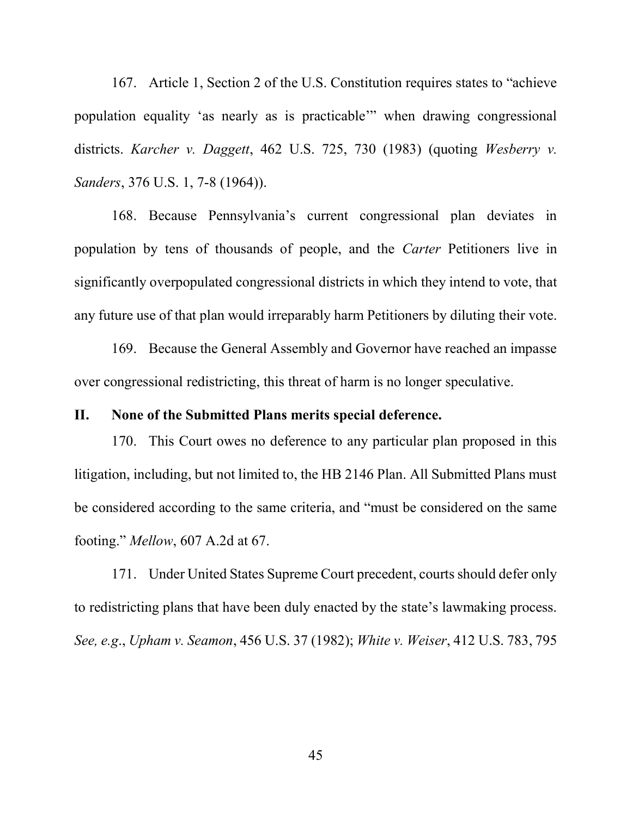167. Article 1, Section 2 of the U.S. Constitution requires states to "achieve population equality 'as nearly as is practicable'" when drawing congressional districts. Karcher v. Daggett, 462 U.S. 725, 730 (1983) (quoting Wesberry v. Sanders, 376 U.S. 1, 7-8 (1964)).

168. Because Pennsylvania's current congressional plan deviates in population by tens of thousands of people, and the Carter Petitioners live in significantly overpopulated congressional districts in which they intend to vote, that any future use of that plan would irreparably harm Petitioners by diluting their vote.

169. Because the General Assembly and Governor have reached an impasse over congressional redistricting, this threat of harm is no longer speculative.

## II. None of the Submitted Plans merits special deference.

170. This Court owes no deference to any particular plan proposed in this litigation, including, but not limited to, the HB 2146 Plan. All Submitted Plans must be considered according to the same criteria, and "must be considered on the same footing." Mellow, 607 A.2d at 67.

171. Under United States Supreme Court precedent, courts should defer only to redistricting plans that have been duly enacted by the state's lawmaking process. See, e.g., Upham v. Seamon, 456 U.S. 37 (1982); White v. Weiser, 412 U.S. 783, 795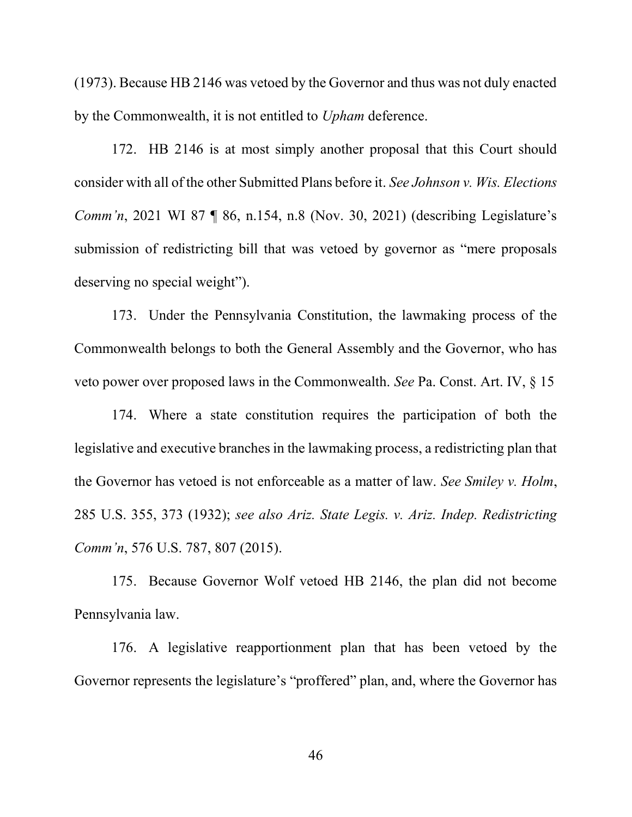(1973). Because HB 2146 was vetoed by the Governor and thus was not duly enacted by the Commonwealth, it is not entitled to *Upham* deference.

172. HB 2146 is at most simply another proposal that this Court should consider with all of the other Submitted Plans before it. See Johnson v. Wis. Elections Comm'n, 2021 WI 87 ¶ 86, n.154, n.8 (Nov. 30, 2021) (describing Legislature's submission of redistricting bill that was vetoed by governor as "mere proposals deserving no special weight").

173. Under the Pennsylvania Constitution, the lawmaking process of the Commonwealth belongs to both the General Assembly and the Governor, who has veto power over proposed laws in the Commonwealth. See Pa. Const. Art. IV, § 15

174. Where a state constitution requires the participation of both the legislative and executive branches in the lawmaking process, a redistricting plan that the Governor has vetoed is not enforceable as a matter of law. See Smiley v. Holm, 285 U.S. 355, 373 (1932); see also Ariz. State Legis. v. Ariz. Indep. Redistricting Comm'n, 576 U.S. 787, 807 (2015).

175. Because Governor Wolf vetoed HB 2146, the plan did not become Pennsylvania law.

176. A legislative reapportionment plan that has been vetoed by the Governor represents the legislature's "proffered" plan, and, where the Governor has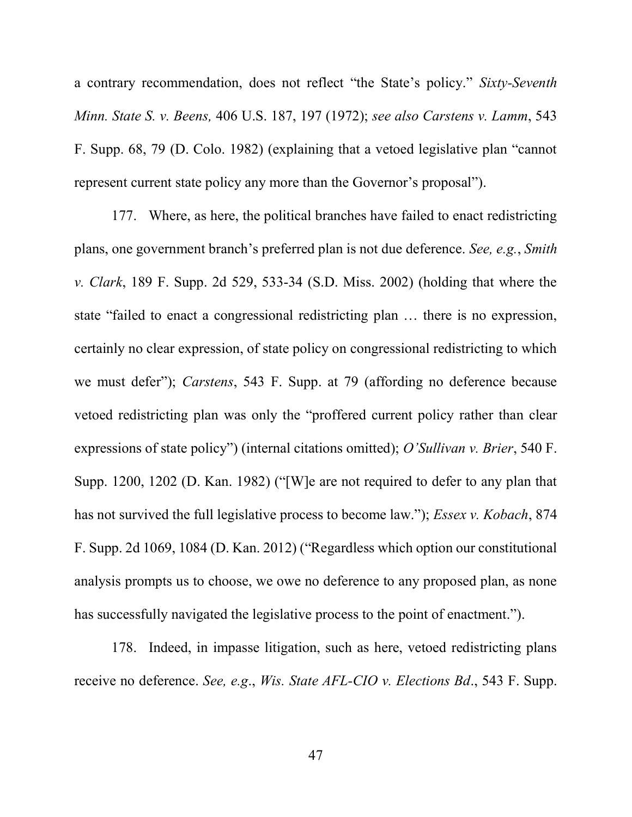a contrary recommendation, does not reflect "the State's policy." Sixty-Seventh Minn. State S. v. Beens, 406 U.S. 187, 197 (1972); see also Carstens v. Lamm, 543 F. Supp. 68, 79 (D. Colo. 1982) (explaining that a vetoed legislative plan "cannot represent current state policy any more than the Governor's proposal").

177. Where, as here, the political branches have failed to enact redistricting plans, one government branch's preferred plan is not due deference. See, e.g., Smith v. Clark, 189 F. Supp. 2d 529, 533-34 (S.D. Miss. 2002) (holding that where the state "failed to enact a congressional redistricting plan … there is no expression, certainly no clear expression, of state policy on congressional redistricting to which we must defer"); Carstens, 543 F. Supp. at 79 (affording no deference because vetoed redistricting plan was only the "proffered current policy rather than clear expressions of state policy") (internal citations omitted); O'Sullivan v. Brier, 540 F. Supp. 1200, 1202 (D. Kan. 1982) ("[W]e are not required to defer to any plan that has not survived the full legislative process to become law."); *Essex v. Kobach*, 874 F. Supp. 2d 1069, 1084 (D. Kan. 2012) ("Regardless which option our constitutional analysis prompts us to choose, we owe no deference to any proposed plan, as none has successfully navigated the legislative process to the point of enactment.").

178. Indeed, in impasse litigation, such as here, vetoed redistricting plans receive no deference. See, e.g., Wis. State AFL-CIO v. Elections Bd., 543 F. Supp.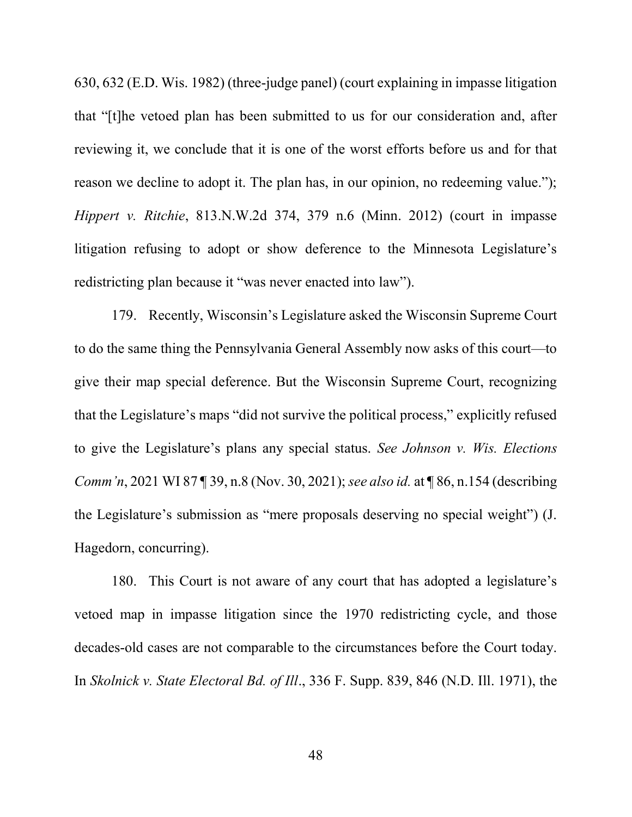630, 632 (E.D. Wis. 1982) (three-judge panel) (court explaining in impasse litigation that "[t]he vetoed plan has been submitted to us for our consideration and, after reviewing it, we conclude that it is one of the worst efforts before us and for that reason we decline to adopt it. The plan has, in our opinion, no redeeming value."); Hippert v. Ritchie, 813.N.W.2d 374, 379 n.6 (Minn. 2012) (court in impasse litigation refusing to adopt or show deference to the Minnesota Legislature's redistricting plan because it "was never enacted into law").

179. Recently, Wisconsin's Legislature asked the Wisconsin Supreme Court to do the same thing the Pennsylvania General Assembly now asks of this court—to give their map special deference. But the Wisconsin Supreme Court, recognizing that the Legislature's maps "did not survive the political process," explicitly refused to give the Legislature's plans any special status. See Johnson v. Wis. Elections Comm'n, 2021 WI 87 ¶ 39, n.8 (Nov. 30, 2021); see also id. at ¶ 86, n.154 (describing the Legislature's submission as "mere proposals deserving no special weight") (J. Hagedorn, concurring).

180. This Court is not aware of any court that has adopted a legislature's vetoed map in impasse litigation since the 1970 redistricting cycle, and those decades-old cases are not comparable to the circumstances before the Court today. In Skolnick v. State Electoral Bd. of Ill., 336 F. Supp. 839, 846 (N.D. Ill. 1971), the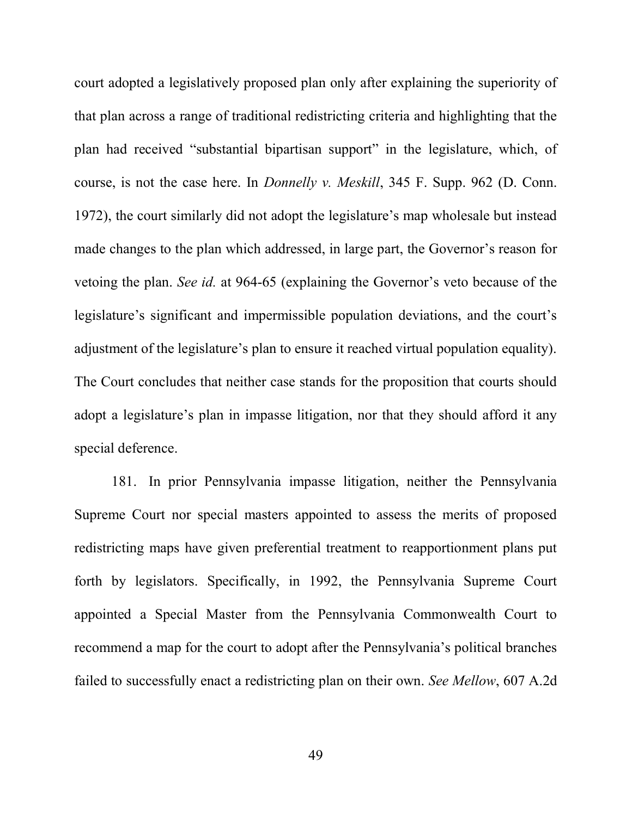court adopted a legislatively proposed plan only after explaining the superiority of that plan across a range of traditional redistricting criteria and highlighting that the plan had received "substantial bipartisan support" in the legislature, which, of course, is not the case here. In Donnelly v. Meskill, 345 F. Supp. 962 (D. Conn. 1972), the court similarly did not adopt the legislature's map wholesale but instead made changes to the plan which addressed, in large part, the Governor's reason for vetoing the plan. See id. at 964-65 (explaining the Governor's veto because of the legislature's significant and impermissible population deviations, and the court's adjustment of the legislature's plan to ensure it reached virtual population equality). The Court concludes that neither case stands for the proposition that courts should adopt a legislature's plan in impasse litigation, nor that they should afford it any special deference.

181. In prior Pennsylvania impasse litigation, neither the Pennsylvania Supreme Court nor special masters appointed to assess the merits of proposed redistricting maps have given preferential treatment to reapportionment plans put forth by legislators. Specifically, in 1992, the Pennsylvania Supreme Court appointed a Special Master from the Pennsylvania Commonwealth Court to recommend a map for the court to adopt after the Pennsylvania's political branches failed to successfully enact a redistricting plan on their own. See Mellow, 607 A.2d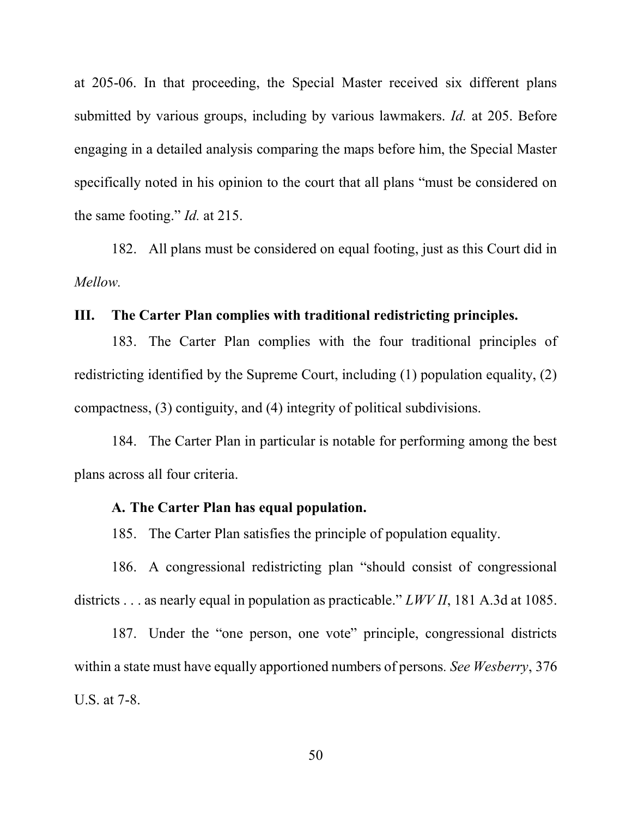at 205-06. In that proceeding, the Special Master received six different plans submitted by various groups, including by various lawmakers. *Id.* at 205. Before engaging in a detailed analysis comparing the maps before him, the Special Master specifically noted in his opinion to the court that all plans "must be considered on the same footing." Id. at 215.

182. All plans must be considered on equal footing, just as this Court did in Mellow.

### III. The Carter Plan complies with traditional redistricting principles.

183. The Carter Plan complies with the four traditional principles of redistricting identified by the Supreme Court, including (1) population equality, (2) compactness, (3) contiguity, and (4) integrity of political subdivisions.

184. The Carter Plan in particular is notable for performing among the best plans across all four criteria.

# A. The Carter Plan has equal population.

185. The Carter Plan satisfies the principle of population equality.

186. A congressional redistricting plan "should consist of congressional districts . . . as nearly equal in population as practicable." *LWV II*, 181 A.3d at 1085.

187. Under the "one person, one vote" principle, congressional districts within a state must have equally apportioned numbers of persons. See Wesberry, 376 U.S. at 7-8.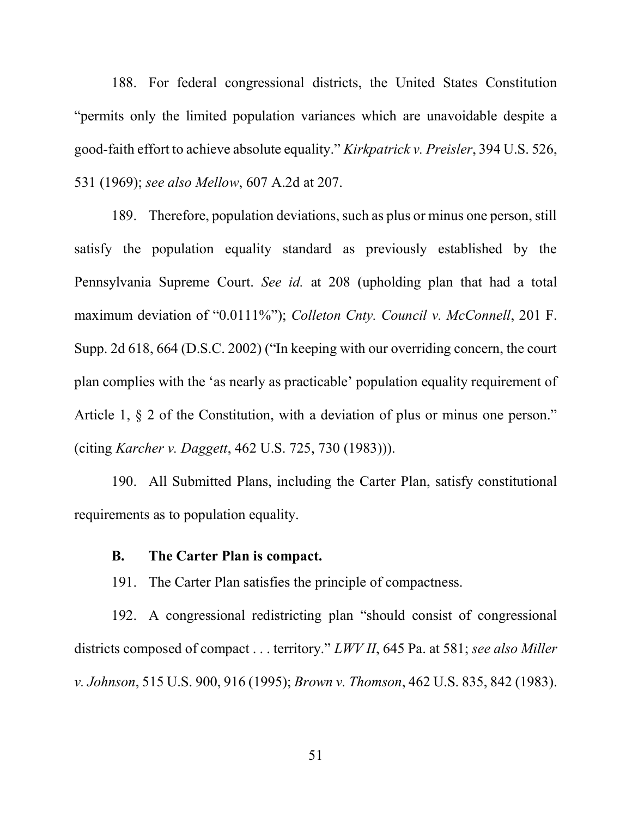188. For federal congressional districts, the United States Constitution "permits only the limited population variances which are unavoidable despite a good-faith effort to achieve absolute equality." Kirkpatrick v. Preisler, 394 U.S. 526, 531 (1969); see also Mellow, 607 A.2d at 207.

189. Therefore, population deviations, such as plus or minus one person, still satisfy the population equality standard as previously established by the Pennsylvania Supreme Court. See id. at 208 (upholding plan that had a total maximum deviation of "0.0111%"); Colleton Cnty. Council v. McConnell, 201 F. Supp. 2d 618, 664 (D.S.C. 2002) ("In keeping with our overriding concern, the court plan complies with the 'as nearly as practicable' population equality requirement of Article 1,  $\S$  2 of the Constitution, with a deviation of plus or minus one person." (citing Karcher v. Daggett, 462 U.S. 725, 730 (1983))).

190. All Submitted Plans, including the Carter Plan, satisfy constitutional requirements as to population equality.

#### B. The Carter Plan is compact.

191. The Carter Plan satisfies the principle of compactness.

192. A congressional redistricting plan "should consist of congressional districts composed of compact . . . territory." *LWV II*, 645 Pa. at 581; see also Miller v. Johnson, 515 U.S. 900, 916 (1995); Brown v. Thomson, 462 U.S. 835, 842 (1983).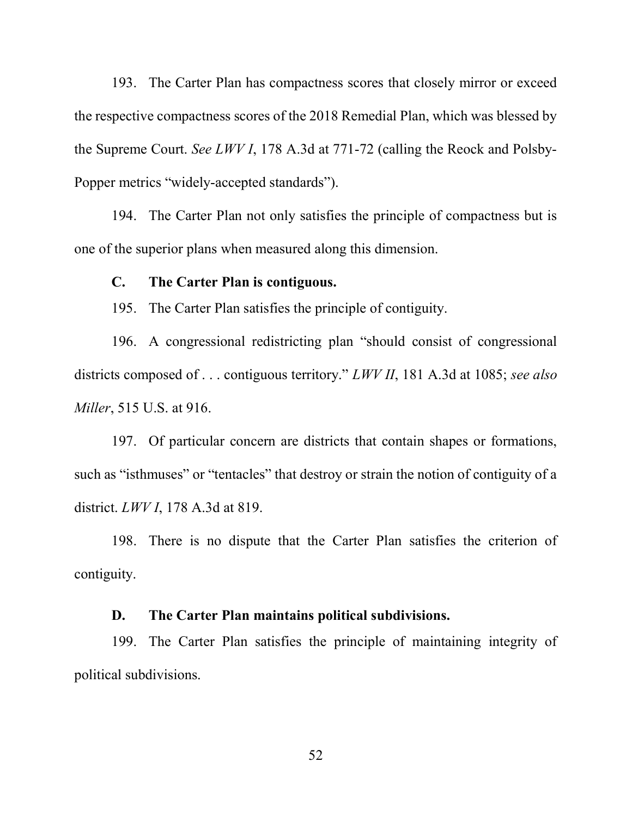193. The Carter Plan has compactness scores that closely mirror or exceed the respective compactness scores of the 2018 Remedial Plan, which was blessed by the Supreme Court. See LWV I, 178 A.3d at 771-72 (calling the Reock and Polsby-Popper metrics "widely-accepted standards").

194. The Carter Plan not only satisfies the principle of compactness but is one of the superior plans when measured along this dimension.

#### C. The Carter Plan is contiguous.

195. The Carter Plan satisfies the principle of contiguity.

196. A congressional redistricting plan "should consist of congressional districts composed of ... contiguous territory." *LWV II*, 181 A.3d at 1085; see also Miller, 515 U.S. at 916.

197. Of particular concern are districts that contain shapes or formations, such as "isthmuses" or "tentacles" that destroy or strain the notion of contiguity of a district. LWV I, 178 A.3d at 819.

198. There is no dispute that the Carter Plan satisfies the criterion of contiguity.

#### D. The Carter Plan maintains political subdivisions.

199. The Carter Plan satisfies the principle of maintaining integrity of political subdivisions.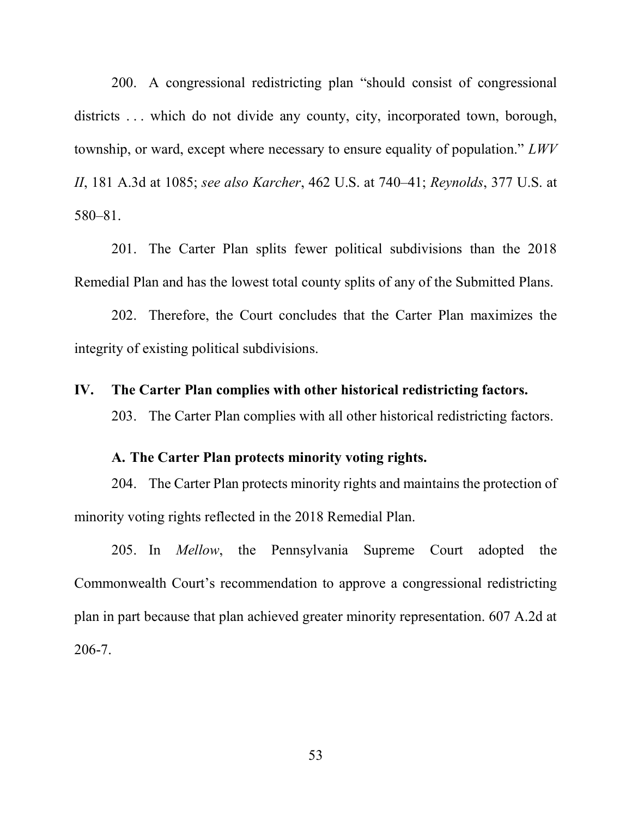200. A congressional redistricting plan "should consist of congressional districts ... which do not divide any county, city, incorporated town, borough, township, or ward, except where necessary to ensure equality of population." LWV II, 181 A.3d at 1085; see also Karcher, 462 U.S. at 740–41; Reynolds, 377 U.S. at 580–81.

201. The Carter Plan splits fewer political subdivisions than the 2018 Remedial Plan and has the lowest total county splits of any of the Submitted Plans.

202. Therefore, the Court concludes that the Carter Plan maximizes the integrity of existing political subdivisions.

# IV. The Carter Plan complies with other historical redistricting factors.

203. The Carter Plan complies with all other historical redistricting factors.

# A. The Carter Plan protects minority voting rights.

204. The Carter Plan protects minority rights and maintains the protection of minority voting rights reflected in the 2018 Remedial Plan.

205. In *Mellow*, the Pennsylvania Supreme Court adopted the Commonwealth Court's recommendation to approve a congressional redistricting plan in part because that plan achieved greater minority representation. 607 A.2d at 206-7.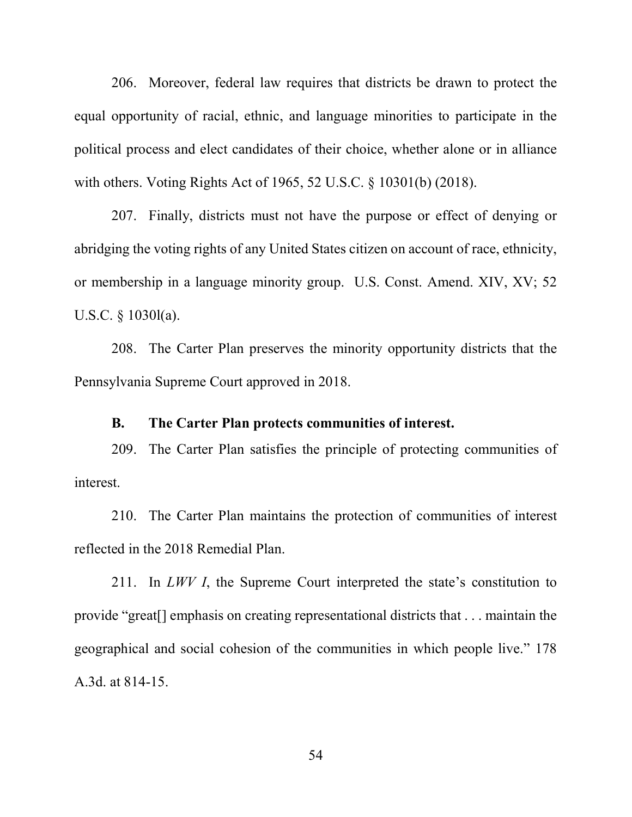206. Moreover, federal law requires that districts be drawn to protect the equal opportunity of racial, ethnic, and language minorities to participate in the political process and elect candidates of their choice, whether alone or in alliance with others. Voting Rights Act of 1965, 52 U.S.C. § 10301(b) (2018).

207. Finally, districts must not have the purpose or effect of denying or abridging the voting rights of any United States citizen on account of race, ethnicity, or membership in a language minority group. U.S. Const. Amend. XIV, XV; 52 U.S.C. § 1030l(a).

208. The Carter Plan preserves the minority opportunity districts that the Pennsylvania Supreme Court approved in 2018.

#### B. The Carter Plan protects communities of interest.

209. The Carter Plan satisfies the principle of protecting communities of interest.

210. The Carter Plan maintains the protection of communities of interest reflected in the 2018 Remedial Plan.

211. In *LWV I*, the Supreme Court interpreted the state's constitution to provide "great[] emphasis on creating representational districts that . . . maintain the geographical and social cohesion of the communities in which people live." 178 A.3d. at 814-15.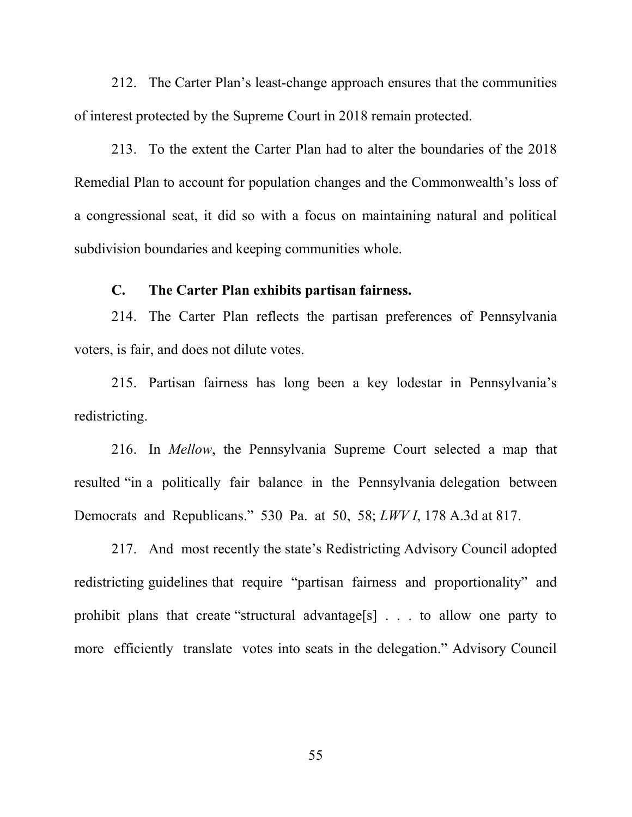212. The Carter Plan's least-change approach ensures that the communities of interest protected by the Supreme Court in 2018 remain protected.

213. To the extent the Carter Plan had to alter the boundaries of the 2018 Remedial Plan to account for population changes and the Commonwealth's loss of a congressional seat, it did so with a focus on maintaining natural and political subdivision boundaries and keeping communities whole.

# C. The Carter Plan exhibits partisan fairness.

214. The Carter Plan reflects the partisan preferences of Pennsylvania voters, is fair, and does not dilute votes.

215. Partisan fairness has long been a key lodestar in Pennsylvania's redistricting.

216. In Mellow, the Pennsylvania Supreme Court selected a map that resulted "in a politically fair balance in the Pennsylvania delegation between Democrats and Republicans." 530 Pa. at 50, 58; LWV I, 178 A.3d at 817.

217. And most recently the state's Redistricting Advisory Council adopted redistricting guidelines that require "partisan fairness and proportionality" and prohibit plans that create "structural advantage[s] . . . to allow one party to more efficiently translate votes into seats in the delegation." Advisory Council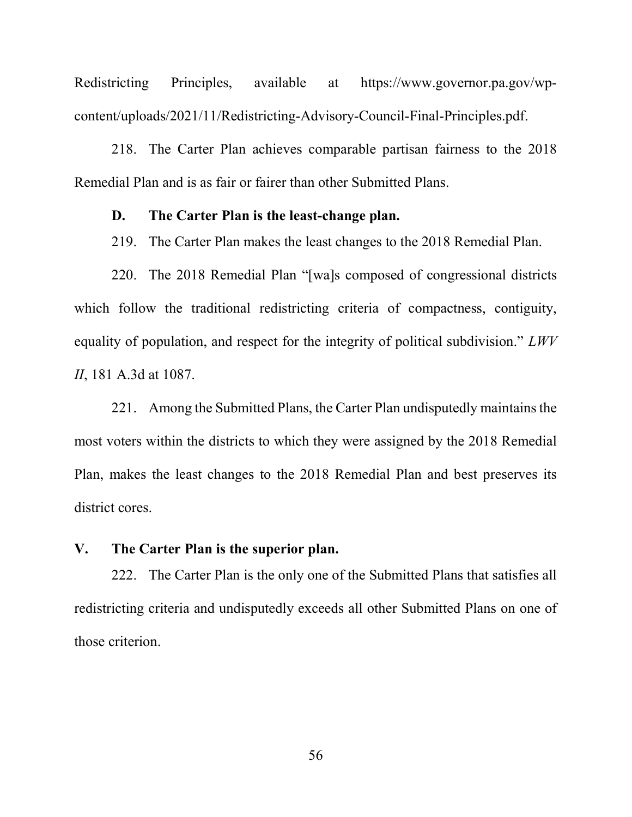Redistricting Principles, available at https://www.governor.pa.gov/wpcontent/uploads/2021/11/Redistricting-Advisory-Council-Final-Principles.pdf.

218. The Carter Plan achieves comparable partisan fairness to the 2018 Remedial Plan and is as fair or fairer than other Submitted Plans.

## D. The Carter Plan is the least-change plan.

219. The Carter Plan makes the least changes to the 2018 Remedial Plan.

220. The 2018 Remedial Plan "[wa]s composed of congressional districts which follow the traditional redistricting criteria of compactness, contiguity, equality of population, and respect for the integrity of political subdivision."  $LWV$ II, 181 A.3d at 1087.

221. Among the Submitted Plans, the Carter Plan undisputedly maintains the most voters within the districts to which they were assigned by the 2018 Remedial Plan, makes the least changes to the 2018 Remedial Plan and best preserves its district cores.

## V. The Carter Plan is the superior plan.

222. The Carter Plan is the only one of the Submitted Plans that satisfies all redistricting criteria and undisputedly exceeds all other Submitted Plans on one of those criterion.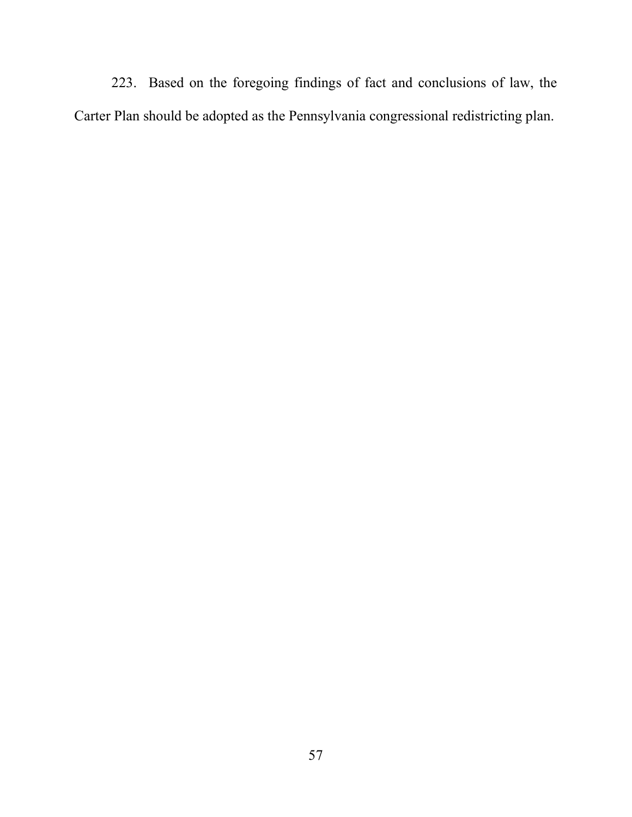223. Based on the foregoing findings of fact and conclusions of law, the Carter Plan should be adopted as the Pennsylvania congressional redistricting plan.